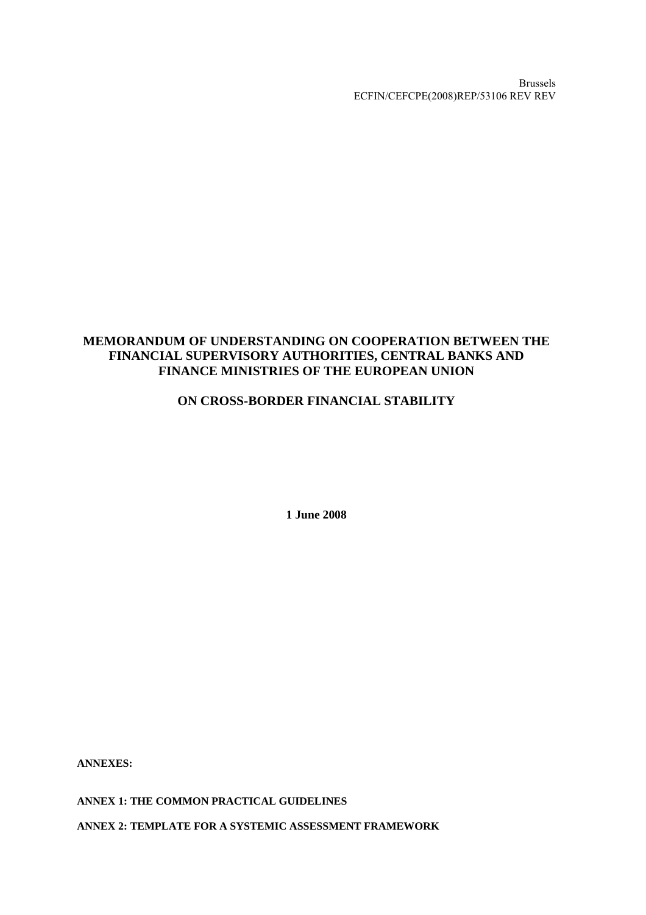Brussels ECFIN/CEFCPE(2008)REP/53106 REV REV

### **MEMORANDUM OF UNDERSTANDING ON COOPERATION BETWEEN THE FINANCIAL SUPERVISORY AUTHORITIES, CENTRAL BANKS AND FINANCE MINISTRIES OF THE EUROPEAN UNION**

## **ON CROSS-BORDER FINANCIAL STABILITY**

**1 June 2008** 

**ANNEXES:** 

**ANNEX 1: THE COMMON PRACTICAL GUIDELINES** 

**ANNEX 2: TEMPLATE FOR A SYSTEMIC ASSESSMENT FRAMEWORK**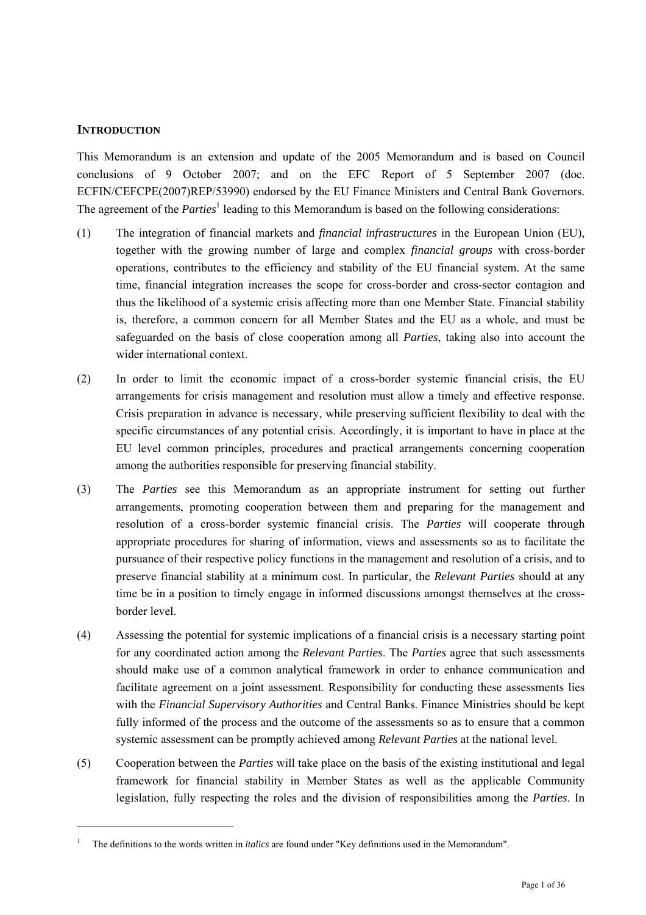#### **INTRODUCTION**

l

This Memorandum is an extension and update of the 2005 Memorandum and is based on Council conclusions of 9 October 2007; and on the EFC Report of 5 September 2007 (doc. ECFIN/CEFCPE(2007)REP/53990) endorsed by the EU Finance Ministers and Central Bank Governors. The agreement of the *Parties*<sup>1</sup> leading to this Memorandum is based on the following considerations:

- (1) The integration of financial markets and *financial infrastructures* in the European Union (EU), together with the growing number of large and complex *financial groups* with cross-border operations, contributes to the efficiency and stability of the EU financial system. At the same time, financial integration increases the scope for cross-border and cross-sector contagion and thus the likelihood of a systemic crisis affecting more than one Member State. Financial stability is, therefore, a common concern for all Member States and the EU as a whole, and must be safeguarded on the basis of close cooperation among all *Parties*, taking also into account the wider international context.
- (2) In order to limit the economic impact of a cross-border systemic financial crisis, the EU arrangements for crisis management and resolution must allow a timely and effective response. Crisis preparation in advance is necessary, while preserving sufficient flexibility to deal with the specific circumstances of any potential crisis. Accordingly, it is important to have in place at the EU level common principles, procedures and practical arrangements concerning cooperation among the authorities responsible for preserving financial stability.
- (3) The *Parties* see this Memorandum as an appropriate instrument for setting out further arrangements, promoting cooperation between them and preparing for the management and resolution of a cross-border systemic financial crisis. The *Parties* will cooperate through appropriate procedures for sharing of information, views and assessments so as to facilitate the pursuance of their respective policy functions in the management and resolution of a crisis, and to preserve financial stability at a minimum cost. In particular, the *Relevant Parties* should at any time be in a position to timely engage in informed discussions amongst themselves at the crossborder level.
- (4) Assessing the potential for systemic implications of a financial crisis is a necessary starting point for any coordinated action among the *Relevant Parties*. The *Parties* agree that such assessments should make use of a common analytical framework in order to enhance communication and facilitate agreement on a joint assessment. Responsibility for conducting these assessments lies with the *Financial Supervisory Authorities* and Central Banks. Finance Ministries should be kept fully informed of the process and the outcome of the assessments so as to ensure that a common systemic assessment can be promptly achieved among *Relevant Parties* at the national level.
- (5) Cooperation between the *Parties* will take place on the basis of the existing institutional and legal framework for financial stability in Member States as well as the applicable Community legislation, fully respecting the roles and the division of responsibilities among the *Parties*. In

<sup>1</sup> The definitions to the words written in *italics* are found under "Key definitions used in the Memorandum".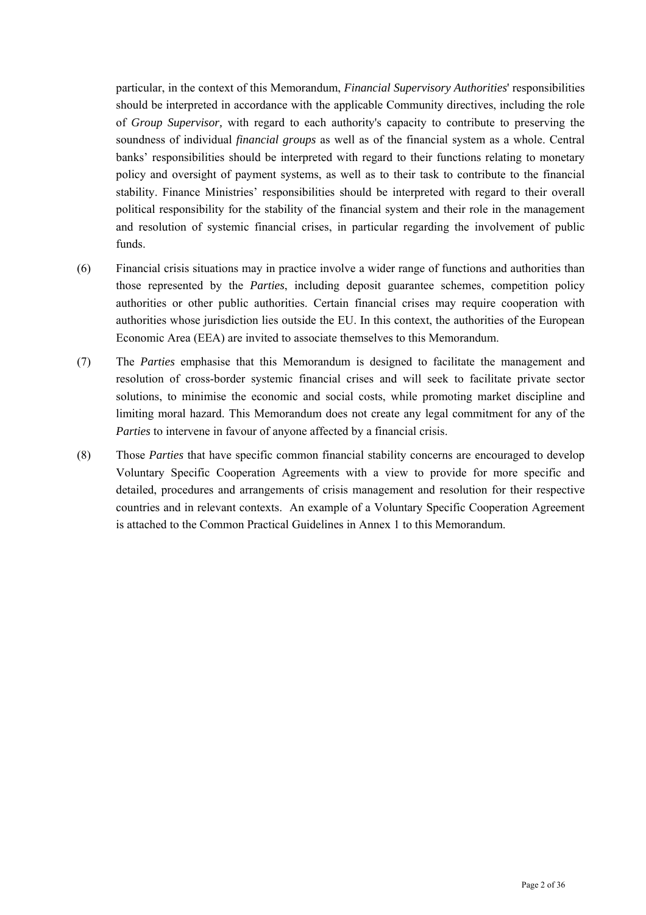particular, in the context of this Memorandum, *Financial Supervisory Authorities*' responsibilities should be interpreted in accordance with the applicable Community directives, including the role of *Group Supervisor,* with regard to each authority's capacity to contribute to preserving the soundness of individual *financial groups* as well as of the financial system as a whole. Central banks' responsibilities should be interpreted with regard to their functions relating to monetary policy and oversight of payment systems, as well as to their task to contribute to the financial stability. Finance Ministries' responsibilities should be interpreted with regard to their overall political responsibility for the stability of the financial system and their role in the management and resolution of systemic financial crises, in particular regarding the involvement of public funds.

- (6) Financial crisis situations may in practice involve a wider range of functions and authorities than those represented by the *Parties*, including deposit guarantee schemes, competition policy authorities or other public authorities. Certain financial crises may require cooperation with authorities whose jurisdiction lies outside the EU. In this context, the authorities of the European Economic Area (EEA) are invited to associate themselves to this Memorandum.
- (7) The *Parties* emphasise that this Memorandum is designed to facilitate the management and resolution of cross-border systemic financial crises and will seek to facilitate private sector solutions, to minimise the economic and social costs, while promoting market discipline and limiting moral hazard. This Memorandum does not create any legal commitment for any of the *Parties* to intervene in favour of anyone affected by a financial crisis.
- (8) Those *Parties* that have specific common financial stability concerns are encouraged to develop Voluntary Specific Cooperation Agreements with a view to provide for more specific and detailed, procedures and arrangements of crisis management and resolution for their respective countries and in relevant contexts. An example of a Voluntary Specific Cooperation Agreement is attached to the Common Practical Guidelines in Annex 1 to this Memorandum.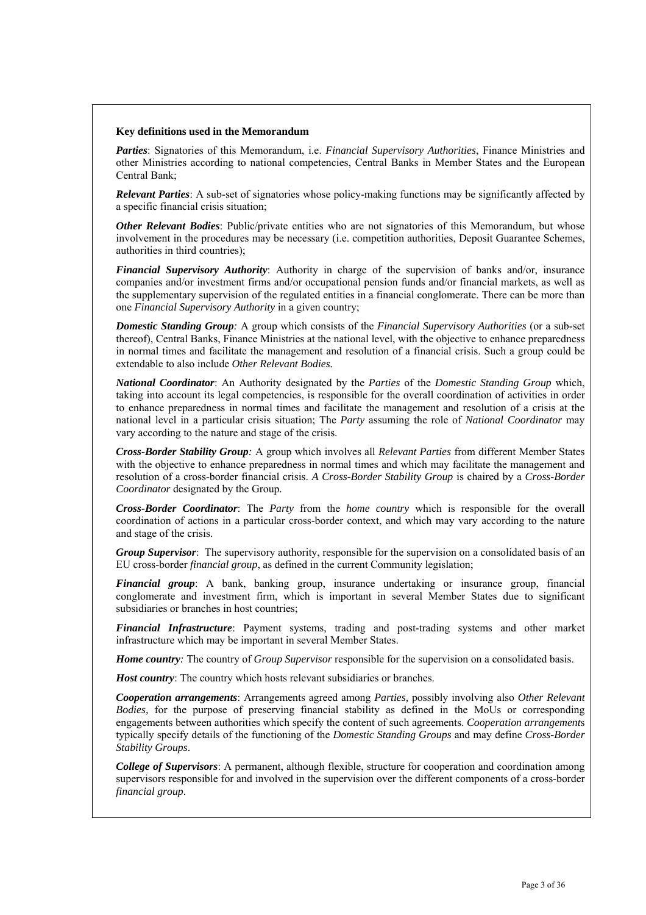#### **Key definitions used in the Memorandum**

*Parties*: Signatories of this Memorandum, i.e. *Financial Supervisory Authorities*, Finance Ministries and other Ministries according to national competencies, Central Banks in Member States and the European Central Bank;

*Relevant Parties*: A sub-set of signatories whose policy-making functions may be significantly affected by a specific financial crisis situation;

*Other Relevant Bodies*: Public/private entities who are not signatories of this Memorandum, but whose involvement in the procedures may be necessary (i.e. competition authorities, Deposit Guarantee Schemes, authorities in third countries);

*Financial Supervisory Authority*: Authority in charge of the supervision of banks and/or, insurance companies and/or investment firms and/or occupational pension funds and/or financial markets, as well as the supplementary supervision of the regulated entities in a financial conglomerate. There can be more than one *Financial Supervisory Authority* in a given country;

*Domestic Standing Group:* A group which consists of the *Financial Supervisory Authorities* (or a sub-set thereof), Central Banks, Finance Ministries at the national level, with the objective to enhance preparedness in normal times and facilitate the management and resolution of a financial crisis. Such a group could be extendable to also include *Other Relevant Bodies.*

*National Coordinator*: An Authority designated by the *Parties* of the *Domestic Standing Group* which, taking into account its legal competencies, is responsible for the overall coordination of activities in order to enhance preparedness in normal times and facilitate the management and resolution of a crisis at the national level in a particular crisis situation; The *Party* assuming the role of *National Coordinator* may vary according to the nature and stage of the crisis.

*Cross-Border Stability Group:* A group which involves all *Relevant Parties* from different Member States with the objective to enhance preparedness in normal times and which may facilitate the management and resolution of a cross-border financial crisis. *A Cross-Border Stability Group* is chaired by a *Cross-Border Coordinator* designated by the Group*.*

*Cross-Border Coordinator*: The *Party* from the *home country* which is responsible for the overall coordination of actions in a particular cross-border context, and which may vary according to the nature and stage of the crisis.

*Group Supervisor*: The supervisory authority, responsible for the supervision on a consolidated basis of an EU cross-border *financial group*, as defined in the current Community legislation;

*Financial group*: A bank, banking group, insurance undertaking or insurance group, financial conglomerate and investment firm, which is important in several Member States due to significant subsidiaries or branches in host countries;

*Financial Infrastructure*: Payment systems, trading and post-trading systems and other market infrastructure which may be important in several Member States.

*Home country:* The country of *Group Supervisor* responsible for the supervision on a consolidated basis.

*Host country*: The country which hosts relevant subsidiaries or branches.

*Cooperation arrangements*: Arrangements agreed among *Parties,* possibly involving also *Other Relevant Bodies,* for the purpose of preserving financial stability as defined in the MoUs or corresponding engagements between authorities which specify the content of such agreements. *Cooperation arrangement*s typically specify details of the functioning of the *Domestic Standing Groups* and may define *Cross-Border Stability Groups*.

*College of Supervisors*: A permanent, although flexible, structure for cooperation and coordination among supervisors responsible for and involved in the supervision over the different components of a cross-border *financial group*.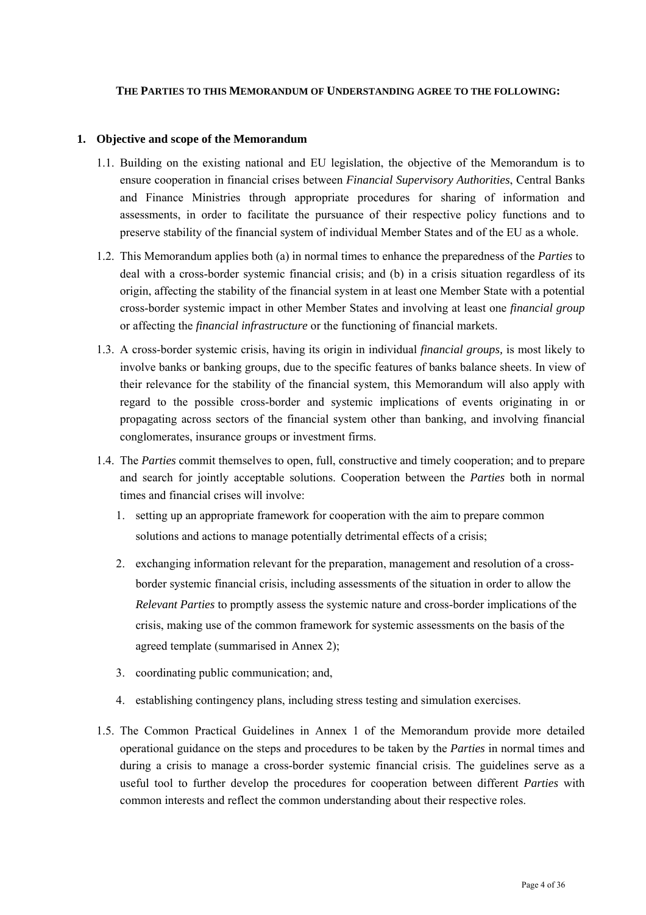#### **THE PARTIES TO THIS MEMORANDUM OF UNDERSTANDING AGREE TO THE FOLLOWING:**

#### **1. Objective and scope of the Memorandum**

- 1.1. Building on the existing national and EU legislation, the objective of the Memorandum is to ensure cooperation in financial crises between *Financial Supervisory Authorities*, Central Banks and Finance Ministries through appropriate procedures for sharing of information and assessments, in order to facilitate the pursuance of their respective policy functions and to preserve stability of the financial system of individual Member States and of the EU as a whole.
- 1.2. This Memorandum applies both (a) in normal times to enhance the preparedness of the *Parties* to deal with a cross-border systemic financial crisis; and (b) in a crisis situation regardless of its origin, affecting the stability of the financial system in at least one Member State with a potential cross-border systemic impact in other Member States and involving at least one *financial group* or affecting the *financial infrastructure* or the functioning of financial markets.
- 1.3. A cross-border systemic crisis, having its origin in individual *financial groups,* is most likely to involve banks or banking groups, due to the specific features of banks balance sheets. In view of their relevance for the stability of the financial system, this Memorandum will also apply with regard to the possible cross-border and systemic implications of events originating in or propagating across sectors of the financial system other than banking, and involving financial conglomerates, insurance groups or investment firms.
- 1.4. The *Parties* commit themselves to open, full, constructive and timely cooperation; and to prepare and search for jointly acceptable solutions. Cooperation between the *Parties* both in normal times and financial crises will involve:
	- 1. setting up an appropriate framework for cooperation with the aim to prepare common solutions and actions to manage potentially detrimental effects of a crisis;
	- 2. exchanging information relevant for the preparation, management and resolution of a crossborder systemic financial crisis, including assessments of the situation in order to allow the *Relevant Parties* to promptly assess the systemic nature and cross-border implications of the crisis, making use of the common framework for systemic assessments on the basis of the agreed template (summarised in Annex 2);
	- 3. coordinating public communication; and,
	- 4. establishing contingency plans, including stress testing and simulation exercises.
- 1.5. The Common Practical Guidelines in Annex 1 of the Memorandum provide more detailed operational guidance on the steps and procedures to be taken by the *Parties* in normal times and during a crisis to manage a cross-border systemic financial crisis. The guidelines serve as a useful tool to further develop the procedures for cooperation between different *Parties* with common interests and reflect the common understanding about their respective roles.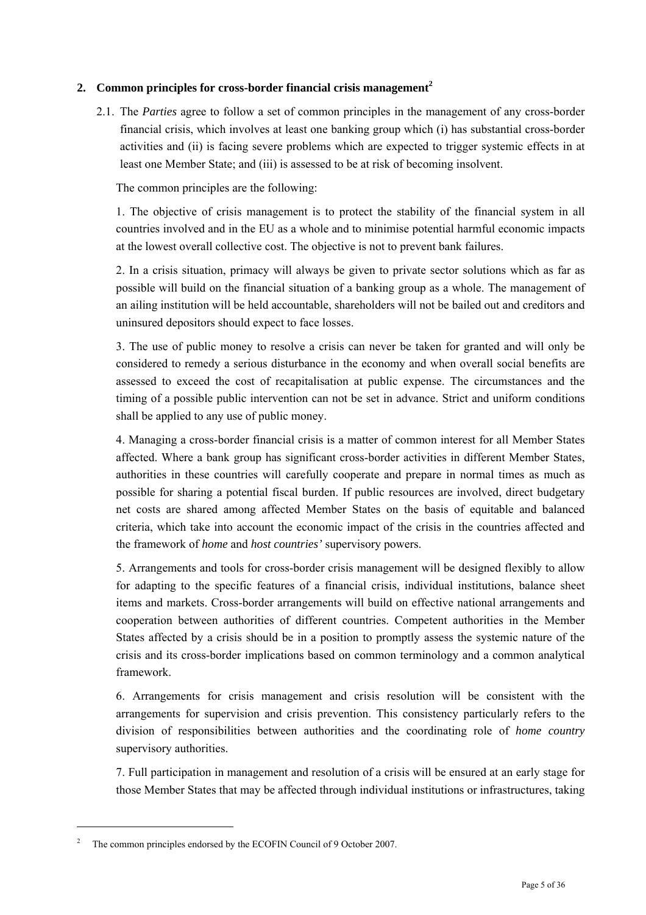### **2. Common principles for cross-border financial crisis management<sup>2</sup>**

2.1. The *Parties* agree to follow a set of common principles in the management of any cross-border financial crisis, which involves at least one banking group which (i) has substantial cross-border activities and (ii) is facing severe problems which are expected to trigger systemic effects in at least one Member State; and (iii) is assessed to be at risk of becoming insolvent.

The common principles are the following:

1. The objective of crisis management is to protect the stability of the financial system in all countries involved and in the EU as a whole and to minimise potential harmful economic impacts at the lowest overall collective cost. The objective is not to prevent bank failures.

2. In a crisis situation, primacy will always be given to private sector solutions which as far as possible will build on the financial situation of a banking group as a whole. The management of an ailing institution will be held accountable, shareholders will not be bailed out and creditors and uninsured depositors should expect to face losses.

3. The use of public money to resolve a crisis can never be taken for granted and will only be considered to remedy a serious disturbance in the economy and when overall social benefits are assessed to exceed the cost of recapitalisation at public expense. The circumstances and the timing of a possible public intervention can not be set in advance. Strict and uniform conditions shall be applied to any use of public money.

4. Managing a cross-border financial crisis is a matter of common interest for all Member States affected. Where a bank group has significant cross-border activities in different Member States, authorities in these countries will carefully cooperate and prepare in normal times as much as possible for sharing a potential fiscal burden. If public resources are involved, direct budgetary net costs are shared among affected Member States on the basis of equitable and balanced criteria, which take into account the economic impact of the crisis in the countries affected and the framework of *home* and *host countries'* supervisory powers.

5. Arrangements and tools for cross-border crisis management will be designed flexibly to allow for adapting to the specific features of a financial crisis, individual institutions, balance sheet items and markets. Cross-border arrangements will build on effective national arrangements and cooperation between authorities of different countries. Competent authorities in the Member States affected by a crisis should be in a position to promptly assess the systemic nature of the crisis and its cross-border implications based on common terminology and a common analytical framework.

6. Arrangements for crisis management and crisis resolution will be consistent with the arrangements for supervision and crisis prevention. This consistency particularly refers to the division of responsibilities between authorities and the coordinating role of *home country* supervisory authorities.

7. Full participation in management and resolution of a crisis will be ensured at an early stage for those Member States that may be affected through individual institutions or infrastructures, taking

l

<sup>2</sup> The common principles endorsed by the ECOFIN Council of 9 October 2007.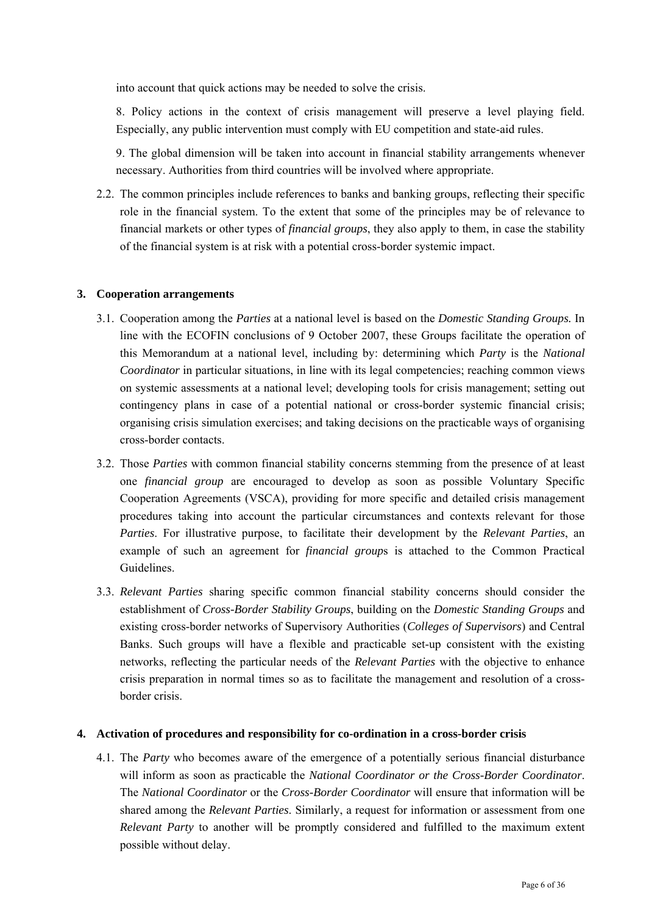into account that quick actions may be needed to solve the crisis.

8. Policy actions in the context of crisis management will preserve a level playing field. Especially, any public intervention must comply with EU competition and state-aid rules.

9. The global dimension will be taken into account in financial stability arrangements whenever necessary. Authorities from third countries will be involved where appropriate.

2.2. The common principles include references to banks and banking groups, reflecting their specific role in the financial system. To the extent that some of the principles may be of relevance to financial markets or other types of *financial groups*, they also apply to them, in case the stability of the financial system is at risk with a potential cross-border systemic impact.

#### **3. Cooperation arrangements**

- 3.1. Cooperation among the *Parties* at a national level is based on the *Domestic Standing Groups.* In line with the ECOFIN conclusions of 9 October 2007, these Groups facilitate the operation of this Memorandum at a national level, including by: determining which *Party* is the *National Coordinator* in particular situations, in line with its legal competencies; reaching common views on systemic assessments at a national level; developing tools for crisis management; setting out contingency plans in case of a potential national or cross-border systemic financial crisis; organising crisis simulation exercises; and taking decisions on the practicable ways of organising cross-border contacts.
- 3.2. Those *Parties* with common financial stability concerns stemming from the presence of at least one *financial group* are encouraged to develop as soon as possible Voluntary Specific Cooperation Agreements (VSCA), providing for more specific and detailed crisis management procedures taking into account the particular circumstances and contexts relevant for those *Parties*. For illustrative purpose, to facilitate their development by the *Relevant Parties*, an example of such an agreement for *financial group*s is attached to the Common Practical Guidelines.
- 3.3. *Relevant Parties* sharing specific common financial stability concerns should consider the establishment of *Cross-Border Stability Groups*, building on the *Domestic Standing Groups* and existing cross-border networks of Supervisory Authorities (*Colleges of Supervisors*) and Central Banks. Such groups will have a flexible and practicable set-up consistent with the existing networks, reflecting the particular needs of the *Relevant Parties* with the objective to enhance crisis preparation in normal times so as to facilitate the management and resolution of a crossborder crisis.

#### **4. Activation of procedures and responsibility for co-ordination in a cross-border crisis**

4.1. The *Party* who becomes aware of the emergence of a potentially serious financial disturbance will inform as soon as practicable the *National Coordinator or the Cross-Border Coordinator*. The *National Coordinator* or the *Cross-Border Coordinator* will ensure that information will be shared among the *Relevant Parties*. Similarly, a request for information or assessment from one *Relevant Party* to another will be promptly considered and fulfilled to the maximum extent possible without delay.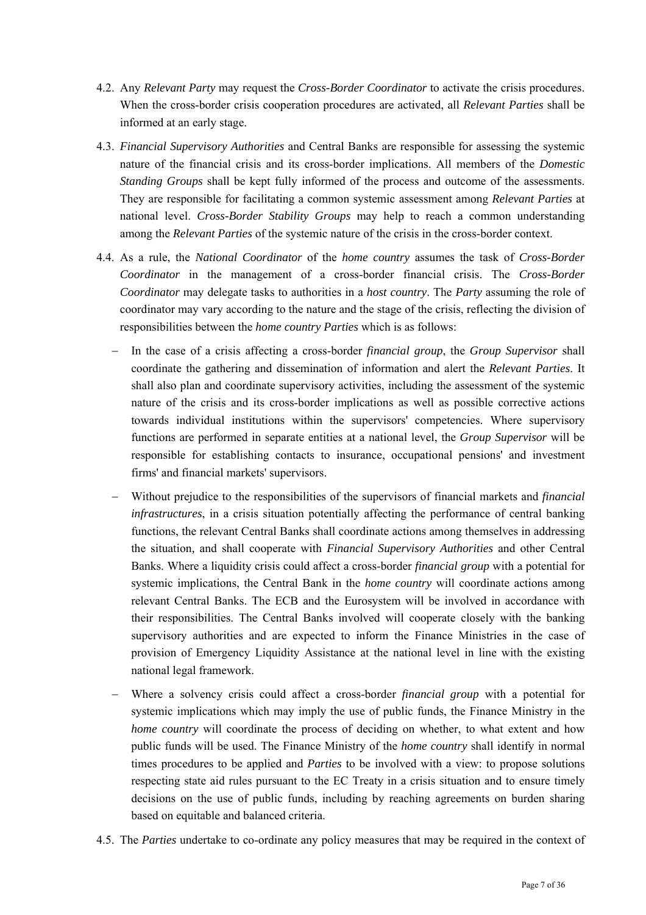- 4.2. Any *Relevant Party* may request the *Cross-Border Coordinator* to activate the crisis procedures. When the cross-border crisis cooperation procedures are activated, all *Relevant Parties* shall be informed at an early stage.
- 4.3. *Financial Supervisory Authorities* and Central Banks are responsible for assessing the systemic nature of the financial crisis and its cross-border implications. All members of the *Domestic Standing Groups* shall be kept fully informed of the process and outcome of the assessments. They are responsible for facilitating a common systemic assessment among *Relevant Parties* at national level. *Cross-Border Stability Groups* may help to reach a common understanding among the *Relevant Parties* of the systemic nature of the crisis in the cross-border context.
- 4.4. As a rule, the *National Coordinator* of the *home country* assumes the task of *Cross-Border Coordinator* in the management of a cross-border financial crisis. The *Cross-Border Coordinator* may delegate tasks to authorities in a *host country*. The *Party* assuming the role of coordinator may vary according to the nature and the stage of the crisis, reflecting the division of responsibilities between the *home country Parties* which is as follows:
	- − In the case of a crisis affecting a cross-border *financial group*, the *Group Supervisor* shall coordinate the gathering and dissemination of information and alert the *Relevant Parties*. It shall also plan and coordinate supervisory activities, including the assessment of the systemic nature of the crisis and its cross-border implications as well as possible corrective actions towards individual institutions within the supervisors' competencies. Where supervisory functions are performed in separate entities at a national level, the *Group Supervisor* will be responsible for establishing contacts to insurance, occupational pensions' and investment firms' and financial markets' supervisors.
	- − Without prejudice to the responsibilities of the supervisors of financial markets and *financial infrastructures*, in a crisis situation potentially affecting the performance of central banking functions, the relevant Central Banks shall coordinate actions among themselves in addressing the situation*,* and shall cooperate with *Financial Supervisory Authorities* and other Central Banks. Where a liquidity crisis could affect a cross-border *financial group* with a potential for systemic implications, the Central Bank in the *home country* will coordinate actions among relevant Central Banks. The ECB and the Eurosystem will be involved in accordance with their responsibilities. The Central Banks involved will cooperate closely with the banking supervisory authorities and are expected to inform the Finance Ministries in the case of provision of Emergency Liquidity Assistance at the national level in line with the existing national legal framework.
	- Where a solvency crisis could affect a cross-border *financial group* with a potential for systemic implications which may imply the use of public funds, the Finance Ministry in the *home country* will coordinate the process of deciding on whether, to what extent and how public funds will be used. The Finance Ministry of the *home country* shall identify in normal times procedures to be applied and *Parties* to be involved with a view: to propose solutions respecting state aid rules pursuant to the EC Treaty in a crisis situation and to ensure timely decisions on the use of public funds, including by reaching agreements on burden sharing based on equitable and balanced criteria.
- 4.5. The *Parties* undertake to co-ordinate any policy measures that may be required in the context of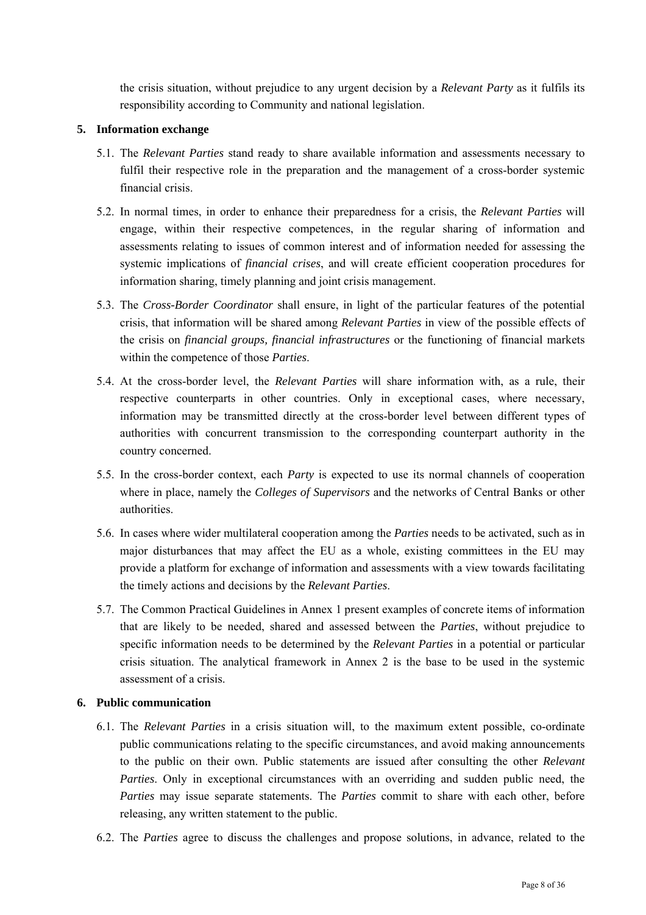the crisis situation, without prejudice to any urgent decision by a *Relevant Party* as it fulfils its responsibility according to Community and national legislation.

#### **5. Information exchange**

- 5.1. The *Relevant Parties* stand ready to share available information and assessments necessary to fulfil their respective role in the preparation and the management of a cross-border systemic financial crisis.
- 5.2. In normal times, in order to enhance their preparedness for a crisis, the *Relevant Parties* will engage, within their respective competences, in the regular sharing of information and assessments relating to issues of common interest and of information needed for assessing the systemic implications of *financial crises*, and will create efficient cooperation procedures for information sharing, timely planning and joint crisis management.
- 5.3. The *Cross-Border Coordinator* shall ensure, in light of the particular features of the potential crisis, that information will be shared among *Relevant Parties* in view of the possible effects of the crisis on *financial groups, financial infrastructures* or the functioning of financial markets within the competence of those *Parties*.
- 5.4. At the cross-border level, the *Relevant Parties* will share information with, as a rule, their respective counterparts in other countries. Only in exceptional cases, where necessary, information may be transmitted directly at the cross-border level between different types of authorities with concurrent transmission to the corresponding counterpart authority in the country concerned.
- 5.5. In the cross-border context, each *Party* is expected to use its normal channels of cooperation where in place, namely the *Colleges of Supervisors* and the networks of Central Banks or other authorities.
- 5.6. In cases where wider multilateral cooperation among the *Parties* needs to be activated, such as in major disturbances that may affect the EU as a whole, existing committees in the EU may provide a platform for exchange of information and assessments with a view towards facilitating the timely actions and decisions by the *Relevant Parties*.
- 5.7. The Common Practical Guidelines in Annex 1 present examples of concrete items of information that are likely to be needed, shared and assessed between the *Parties*, without prejudice to specific information needs to be determined by the *Relevant Parties* in a potential or particular crisis situation. The analytical framework in Annex 2 is the base to be used in the systemic assessment of a crisis.

### **6. Public communication**

- 6.1. The *Relevant Parties* in a crisis situation will, to the maximum extent possible, co-ordinate public communications relating to the specific circumstances, and avoid making announcements to the public on their own. Public statements are issued after consulting the other *Relevant Parties*. Only in exceptional circumstances with an overriding and sudden public need, the *Parties* may issue separate statements. The *Parties* commit to share with each other, before releasing, any written statement to the public.
- 6.2. The *Parties* agree to discuss the challenges and propose solutions, in advance, related to the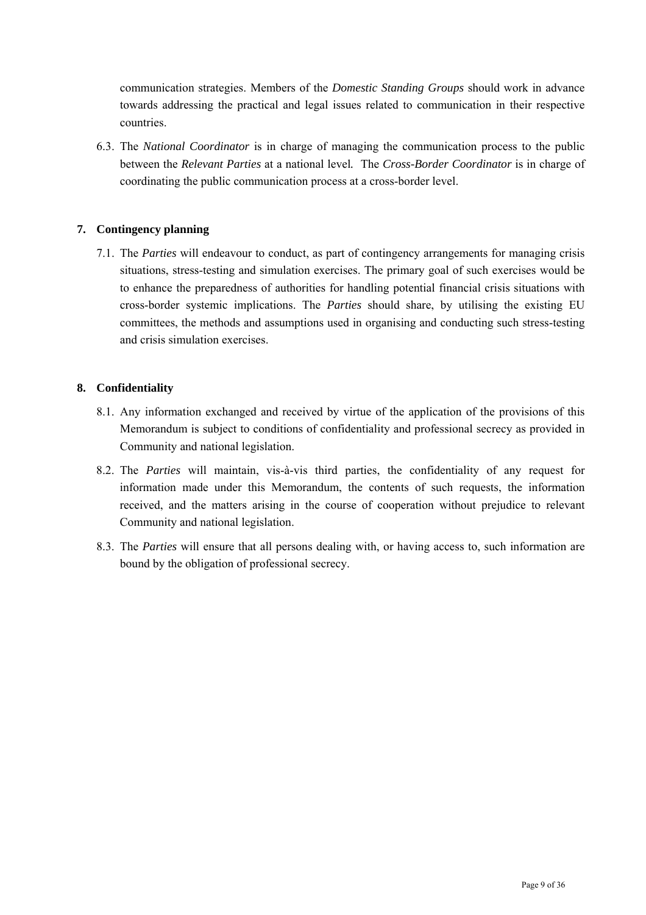communication strategies. Members of the *Domestic Standing Groups* should work in advance towards addressing the practical and legal issues related to communication in their respective countries.

6.3. The *National Coordinator* is in charge of managing the communication process to the public between the *Relevant Parties* at a national level*.* The *Cross-Border Coordinator* is in charge of coordinating the public communication process at a cross-border level.

### **7. Contingency planning**

7.1. The *Parties* will endeavour to conduct, as part of contingency arrangements for managing crisis situations, stress-testing and simulation exercises. The primary goal of such exercises would be to enhance the preparedness of authorities for handling potential financial crisis situations with cross-border systemic implications. The *Parties* should share, by utilising the existing EU committees, the methods and assumptions used in organising and conducting such stress-testing and crisis simulation exercises.

### **8. Confidentiality**

- 8.1. Any information exchanged and received by virtue of the application of the provisions of this Memorandum is subject to conditions of confidentiality and professional secrecy as provided in Community and national legislation.
- 8.2. The *Parties* will maintain, vis-à-vis third parties, the confidentiality of any request for information made under this Memorandum, the contents of such requests, the information received, and the matters arising in the course of cooperation without prejudice to relevant Community and national legislation.
- 8.3. The *Parties* will ensure that all persons dealing with, or having access to, such information are bound by the obligation of professional secrecy.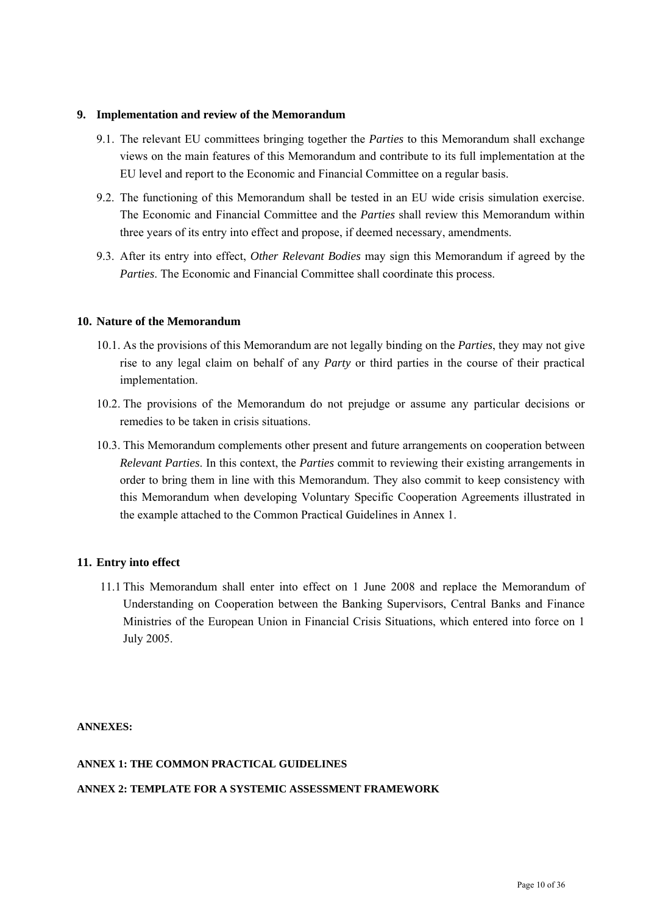#### **9. Implementation and review of the Memorandum**

- 9.1. The relevant EU committees bringing together the *Parties* to this Memorandum shall exchange views on the main features of this Memorandum and contribute to its full implementation at the EU level and report to the Economic and Financial Committee on a regular basis.
- 9.2. The functioning of this Memorandum shall be tested in an EU wide crisis simulation exercise. The Economic and Financial Committee and the *Parties* shall review this Memorandum within three years of its entry into effect and propose, if deemed necessary, amendments.
- 9.3. After its entry into effect, *Other Relevant Bodies* may sign this Memorandum if agreed by the *Parties*. The Economic and Financial Committee shall coordinate this process.

#### **10. Nature of the Memorandum**

- 10.1. As the provisions of this Memorandum are not legally binding on the *Parties*, they may not give rise to any legal claim on behalf of any *Party* or third parties in the course of their practical implementation.
- 10.2. The provisions of the Memorandum do not prejudge or assume any particular decisions or remedies to be taken in crisis situations.
- 10.3. This Memorandum complements other present and future arrangements on cooperation between *Relevant Parties*. In this context, the *Parties* commit to reviewing their existing arrangements in order to bring them in line with this Memorandum. They also commit to keep consistency with this Memorandum when developing Voluntary Specific Cooperation Agreements illustrated in the example attached to the Common Practical Guidelines in Annex 1.

#### **11. Entry into effect**

11.1 This Memorandum shall enter into effect on 1 June 2008 and replace the Memorandum of Understanding on Cooperation between the Banking Supervisors, Central Banks and Finance Ministries of the European Union in Financial Crisis Situations, which entered into force on 1 July 2005.

**ANNEXES:** 

#### **ANNEX 1: THE COMMON PRACTICAL GUIDELINES**

#### **ANNEX 2: TEMPLATE FOR A SYSTEMIC ASSESSMENT FRAMEWORK**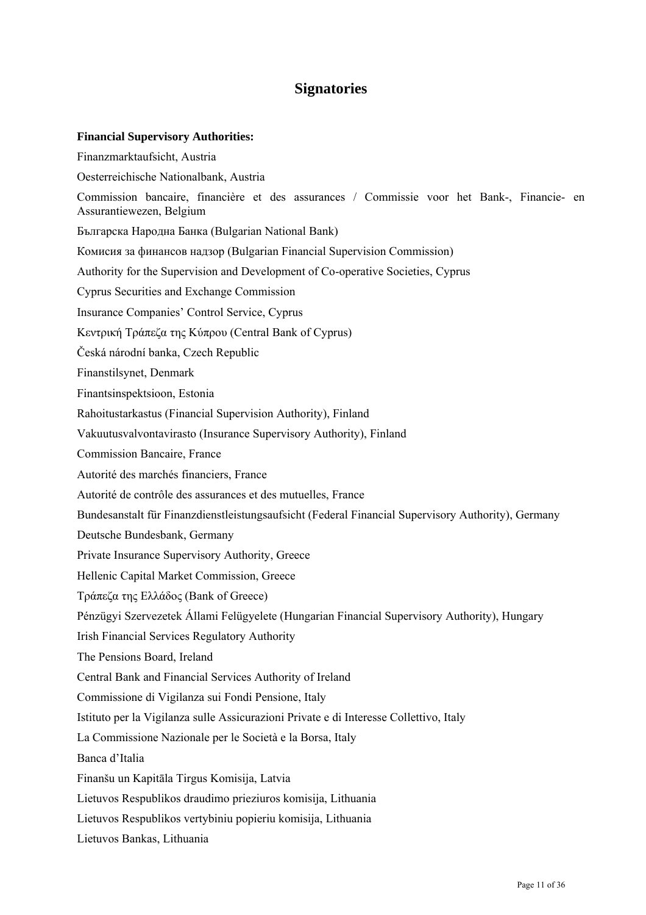# **Signatories**

#### **Financial Supervisory Authorities:**

Finanzmarktaufsicht, Austria Oesterreichische Nationalbank, Austria Commission bancaire, financière et des assurances / Commissie voor het Bank-, Financie- en Assurantiewezen, Belgium Българска Народна Банка (Bulgarian National Bank) Комисия за финансов надзор (Bulgarian Financial Supervision Commission) Authority for the Supervision and Development of Co-operative Societies, Cyprus Cyprus Securities and Exchange Commission Insurance Companies' Control Service, Cyprus Κεντρική Τράπεζα της Κύπρου (Central Bank of Cyprus) Česká národní banka, Czech Republic Finanstilsynet, Denmark Finantsinspektsioon, Estonia Rahoitustarkastus (Financial Supervision Authority), Finland Vakuutusvalvontavirasto (Insurance Supervisory Authority), Finland Commission Bancaire, France Autorité des marchés financiers, France Autorité de contrôle des assurances et des mutuelles, France Bundesanstalt für Finanzdienstleistungsaufsicht (Federal Financial Supervisory Authority), Germany Deutsche Bundesbank, Germany Private Insurance Supervisory Authority, Greece Hellenic Capital Market Commission, Greece Τράπεζα της Ελλάδος (Bank of Greece) Pénzügyi Szervezetek Állami Felügyelete (Hungarian Financial Supervisory Authority), Hungary Irish Financial Services Regulatory Authority The Pensions Board, Ireland Central Bank and Financial Services Authority of Ireland Commissione di Vigilanza sui Fondi Pensione, Italy Istituto per la Vigilanza sulle Assicurazioni Private e di Interesse Collettivo, Italy La Commissione Nazionale per le Società e la Borsa, Italy Banca d'Italia Finanšu un Kapitāla Tirgus Komisija, Latvia Lietuvos Respublikos draudimo prieziuros komisija, Lithuania Lietuvos Respublikos vertybiniu popieriu komisija, Lithuania Lietuvos Bankas, Lithuania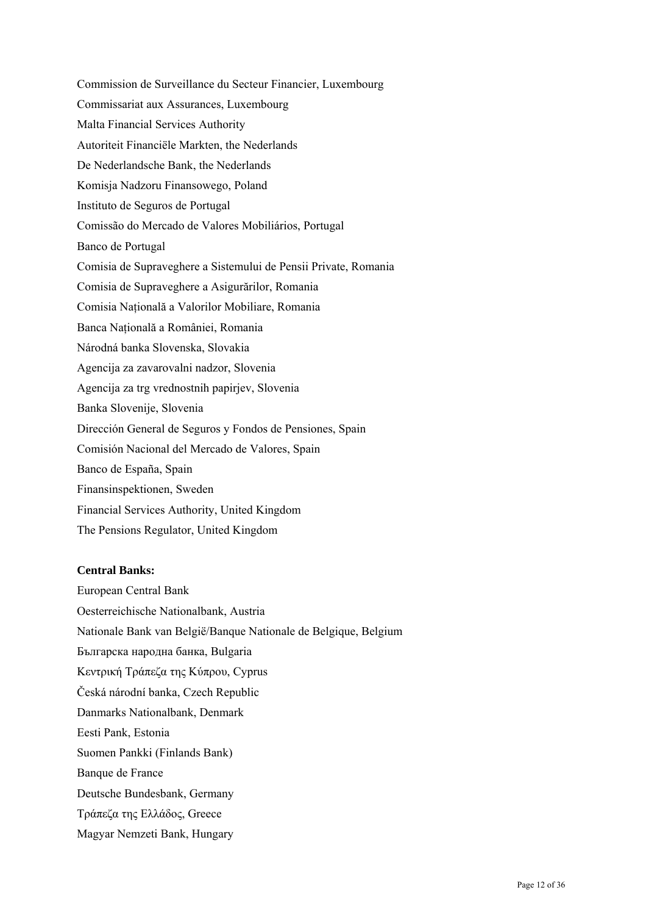Commission de Surveillance du Secteur Financier, Luxembourg Commissariat aux Assurances, Luxembourg Malta Financial Services Authority Autoriteit Financiële Markten, the Nederlands De Nederlandsche Bank, the Nederlands Komisja Nadzoru Finansowego, Poland Instituto de Seguros de Portugal Comissão do Mercado de Valores Mobiliários, Portugal Banco de Portugal Comisia de Supraveghere a Sistemului de Pensii Private, Romania Comisia de Supraveghere a Asigurărilor, Romania Comisia Naţională a Valorilor Mobiliare, Romania Banca Naţională a României, Romania Národná banka Slovenska, Slovakia Agencija za zavarovalni nadzor, Slovenia Agencija za trg vrednostnih papirjev, Slovenia Banka Slovenije, Slovenia Dirección General de Seguros y Fondos de Pensiones, Spain Comisión Nacional del Mercado de Valores, Spain Banco de España, Spain Finansinspektionen, Sweden Financial Services Authority, United Kingdom The Pensions Regulator, United Kingdom

#### **Central Banks:**

European Central Bank Oesterreichische Nationalbank, Austria Nationale Bank van België/Banque Nationale de Belgique, Belgium Българска народна банка, Bulgaria Κεντρική Τράπεζα της Κύπρου, Cyprus Česká národní banka, Czech Republic Danmarks Nationalbank, Denmark Eesti Pank, Estonia Suomen Pankki (Finlands Bank) Banque de France Deutsche Bundesbank, Germany Τράπεζα της Ελλάδος, Greece Magyar Nemzeti Bank, Hungary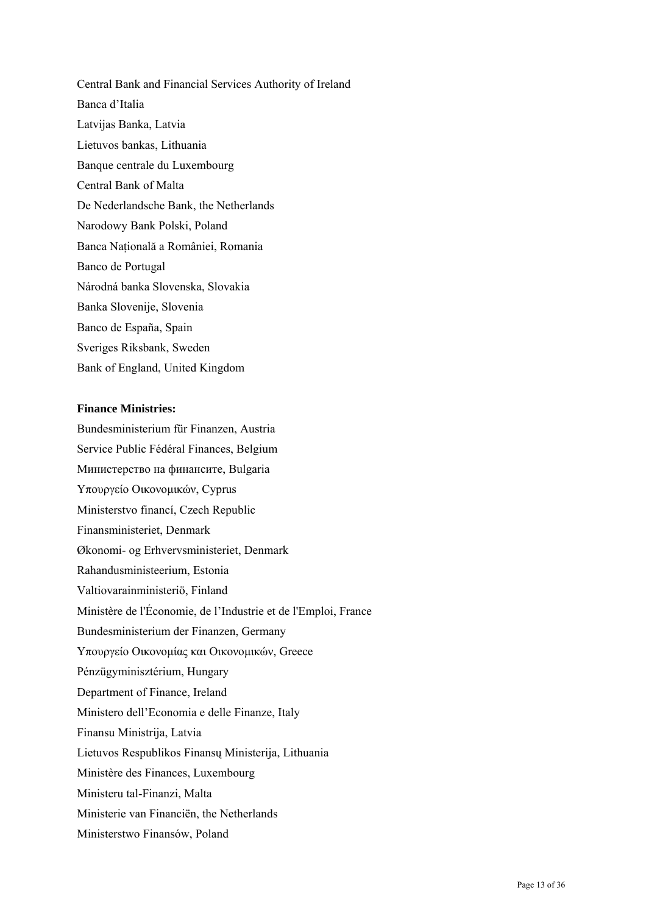Central Bank and Financial Services Authority of Ireland Banca d'Italia Latvijas Banka, Latvia Lietuvos bankas, Lithuania Banque centrale du Luxembourg Central Bank of Malta De Nederlandsche Bank, the Netherlands Narodowy Bank Polski, Poland Banca Natională a României, Romania Banco de Portugal Národná banka Slovenska, Slovakia Banka Slovenije, Slovenia Banco de España, Spain Sveriges Riksbank, Sweden Bank of England, United Kingdom

#### **Finance Ministries:**

Bundesministerium für Finanzen, Austria Service Public Fédéral Finances, Belgium Министерство на финансите, Bulgaria Υπουργείο Οικονοµικών, Cyprus Ministerstvo financí, Czech Republic Finansministeriet, Denmark Økonomi- og Erhvervsministeriet, Denmark Rahandusministeerium, Estonia Valtiovarainministeriö, Finland Ministère de l'Économie, de l'Industrie et de l'Emploi, France Bundesministerium der Finanzen, Germany Υπουργείο Οικονομίας και Οικονομικών, Greece Pénzügyminisztérium, Hungary Department of Finance, Ireland Ministero dell'Economia e delle Finanze, Italy Finansu Ministrija, Latvia Lietuvos Respublikos Finansų Ministerija, Lithuania Ministère des Finances, Luxembourg Ministeru tal-Finanzi, Malta Ministerie van Financiën, the Netherlands Ministerstwo Finansów, Poland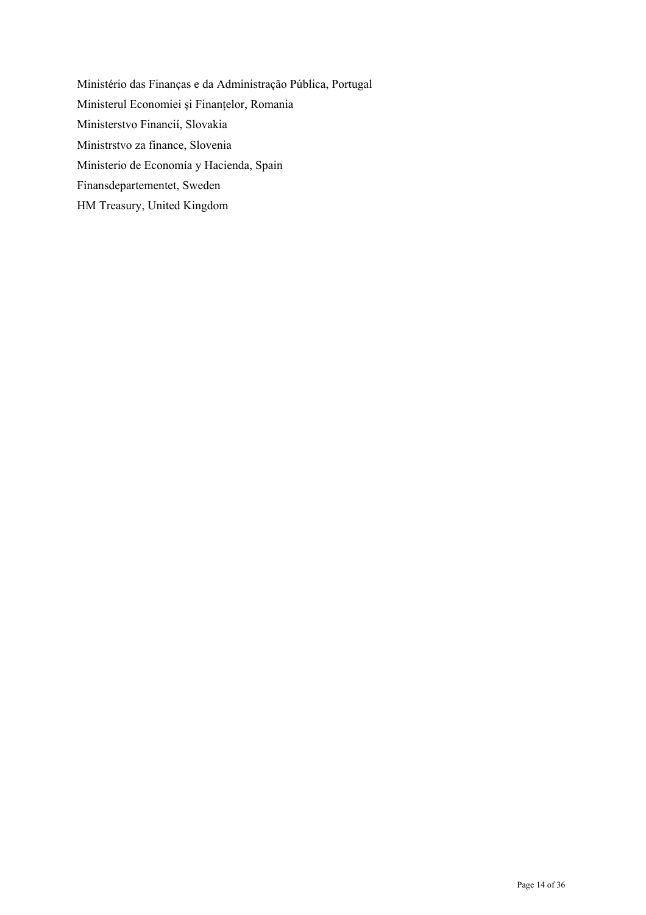Ministério das Finanças e da Administração Pública, Portugal Ministerul Economiei şi Finanţelor, Romania Ministerstvo Financií, Slovakia Ministrstvo za finance, Slovenia Ministerio de Economía y Hacienda, Spain Finansdepartementet, Sweden HM Treasury, United Kingdom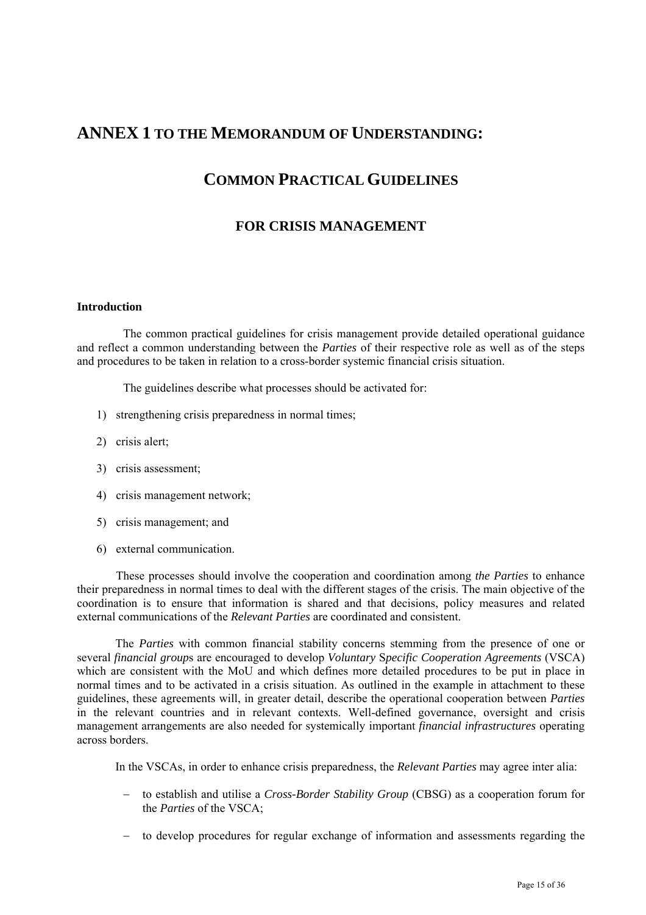# **ANNEX 1 TO THE MEMORANDUM OF UNDERSTANDING:**

# **COMMON PRACTICAL GUIDELINES**

# **FOR CRISIS MANAGEMENT**

#### **Introduction**

 The common practical guidelines for crisis management provide detailed operational guidance and reflect a common understanding between the *Parties* of their respective role as well as of the steps and procedures to be taken in relation to a cross-border systemic financial crisis situation.

The guidelines describe what processes should be activated for:

- 1) strengthening crisis preparedness in normal times;
- 2) crisis alert;
- 3) crisis assessment;
- 4) crisis management network;
- 5) crisis management; and
- 6) external communication.

These processes should involve the cooperation and coordination among *the Parties* to enhance their preparedness in normal times to deal with the different stages of the crisis. The main objective of the coordination is to ensure that information is shared and that decisions, policy measures and related external communications of the *Relevant Parties* are coordinated and consistent.

The *Parties* with common financial stability concerns stemming from the presence of one or several *financial group*s are encouraged to develop *Voluntary* S*pecific Cooperation Agreements* (VSCA) which are consistent with the MoU and which defines more detailed procedures to be put in place in normal times and to be activated in a crisis situation. As outlined in the example in attachment to these guidelines, these agreements will, in greater detail, describe the operational cooperation between *Parties* in the relevant countries and in relevant contexts. Well-defined governance, oversight and crisis management arrangements are also needed for systemically important *financial infrastructures* operating across borders.

In the VSCAs, in order to enhance crisis preparedness, the *Relevant Parties* may agree inter alia:

- − to establish and utilise a *Cross-Border Stability Group* (CBSG) as a cooperation forum for the *Parties* of the VSCA;
- − to develop procedures for regular exchange of information and assessments regarding the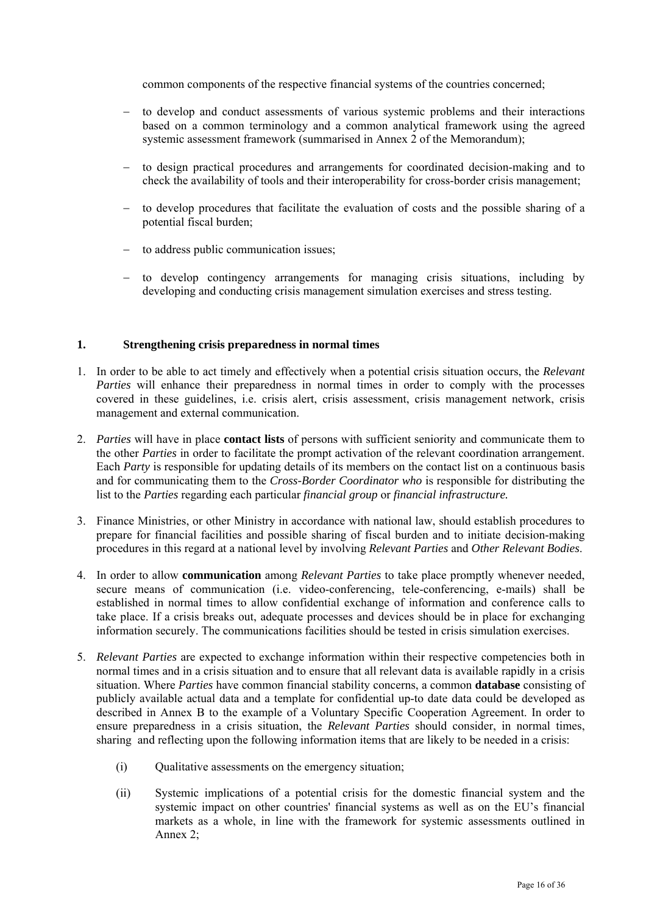common components of the respective financial systems of the countries concerned;

- − to develop and conduct assessments of various systemic problems and their interactions based on a common terminology and a common analytical framework using the agreed systemic assessment framework (summarised in Annex 2 of the Memorandum);
- to design practical procedures and arrangements for coordinated decision-making and to check the availability of tools and their interoperability for cross-border crisis management;
- − to develop procedures that facilitate the evaluation of costs and the possible sharing of a potential fiscal burden;
- − to address public communication issues;
- − to develop contingency arrangements for managing crisis situations, including by developing and conducting crisis management simulation exercises and stress testing.

#### **1. Strengthening crisis preparedness in normal times**

- 1. In order to be able to act timely and effectively when a potential crisis situation occurs, the *Relevant Parties* will enhance their preparedness in normal times in order to comply with the processes covered in these guidelines, i.e. crisis alert, crisis assessment, crisis management network, crisis management and external communication.
- 2. *Parties* will have in place **contact lists** of persons with sufficient seniority and communicate them to the other *Parties* in order to facilitate the prompt activation of the relevant coordination arrangement. Each *Party* is responsible for updating details of its members on the contact list on a continuous basis and for communicating them to the *Cross-Border Coordinator who* is responsible for distributing the list to the *Parties* regarding each particular *financial group* or *financial infrastructure.*
- 3. Finance Ministries, or other Ministry in accordance with national law, should establish procedures to prepare for financial facilities and possible sharing of fiscal burden and to initiate decision-making procedures in this regard at a national level by involving *Relevant Parties* and *Other Relevant Bodies*.
- 4. In order to allow **communication** among *Relevant Parties* to take place promptly whenever needed, secure means of communication (i.e. video-conferencing, tele-conferencing, e-mails) shall be established in normal times to allow confidential exchange of information and conference calls to take place. If a crisis breaks out, adequate processes and devices should be in place for exchanging information securely. The communications facilities should be tested in crisis simulation exercises.
- 5. *Relevant Parties* are expected to exchange information within their respective competencies both in normal times and in a crisis situation and to ensure that all relevant data is available rapidly in a crisis situation. Where *Parties* have common financial stability concerns, a common **database** consisting of publicly available actual data and a template for confidential up-to date data could be developed as described in Annex B to the example of a Voluntary Specific Cooperation Agreement. In order to ensure preparedness in a crisis situation, the *Relevant Parties* should consider, in normal times, sharing and reflecting upon the following information items that are likely to be needed in a crisis:
	- (i) Qualitative assessments on the emergency situation;
	- (ii) Systemic implications of a potential crisis for the domestic financial system and the systemic impact on other countries' financial systems as well as on the EU's financial markets as a whole, in line with the framework for systemic assessments outlined in Annex 2;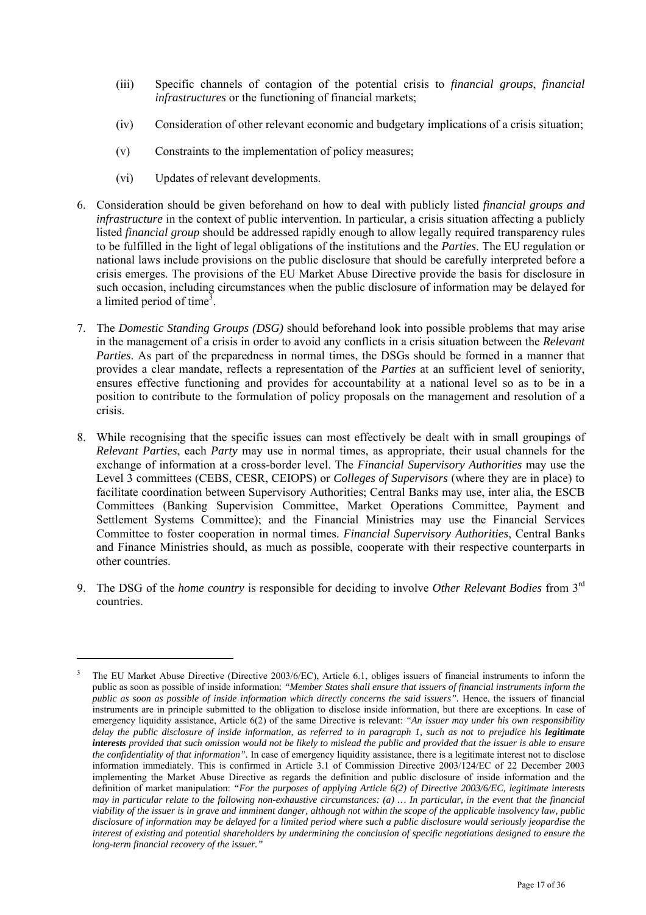- (iii) Specific channels of contagion of the potential crisis to *financial groups*, *financial infrastructures* or the functioning of financial markets;
- (iv) Consideration of other relevant economic and budgetary implications of a crisis situation;
- (v) Constraints to the implementation of policy measures;
- (vi) Updates of relevant developments.

 $\overline{a}$ 

- 6. Consideration should be given beforehand on how to deal with publicly listed *financial groups and infrastructure* in the context of public intervention. In particular, a crisis situation affecting a publicly listed *financial group* should be addressed rapidly enough to allow legally required transparency rules to be fulfilled in the light of legal obligations of the institutions and the *Parties*. The EU regulation or national laws include provisions on the public disclosure that should be carefully interpreted before a crisis emerges. The provisions of the EU Market Abuse Directive provide the basis for disclosure in such occasion, including circumstances when the public disclosure of information may be delayed for a limited period of time<sup>3</sup>.
- 7. The *Domestic Standing Groups (DSG)* should beforehand look into possible problems that may arise in the management of a crisis in order to avoid any conflicts in a crisis situation between the *Relevant Parties*. As part of the preparedness in normal times, the DSGs should be formed in a manner that provides a clear mandate, reflects a representation of the *Parties* at an sufficient level of seniority, ensures effective functioning and provides for accountability at a national level so as to be in a position to contribute to the formulation of policy proposals on the management and resolution of a crisis.
- 8. While recognising that the specific issues can most effectively be dealt with in small groupings of *Relevant Parties*, each *Party* may use in normal times, as appropriate, their usual channels for the exchange of information at a cross-border level. The *Financial Supervisory Authorities* may use the Level 3 committees (CEBS, CESR, CEIOPS) or *Colleges of Supervisors* (where they are in place) to facilitate coordination between Supervisory Authorities; Central Banks may use, inter alia, the ESCB Committees (Banking Supervision Committee, Market Operations Committee, Payment and Settlement Systems Committee); and the Financial Ministries may use the Financial Services Committee to foster cooperation in normal times. *Financial Supervisory Authorities*, Central Banks and Finance Ministries should, as much as possible, cooperate with their respective counterparts in other countries.
- 9. The DSG of the *home country* is responsible for deciding to involve *Other Relevant Bodies* from 3rd countries.

<sup>3</sup> The EU Market Abuse Directive (Directive 2003/6/EC), Article 6.1, obliges issuers of financial instruments to inform the public as soon as possible of inside information: *"Member States shall ensure that issuers of financial instruments inform the public as soon as possible of inside information which directly concerns the said issuers"*. Hence, the issuers of financial instruments are in principle submitted to the obligation to disclose inside information, but there are exceptions. In case of emergency liquidity assistance, Article 6(2) of the same Directive is relevant: *"An issuer may under his own responsibility delay the public disclosure of inside information, as referred to in paragraph 1, such as not to prejudice his legitimate interests provided that such omission would not be likely to mislead the public and provided that the issuer is able to ensure the confidentiality of that information".* In case of emergency liquidity assistance, there is a legitimate interest not to disclose information immediately. This is confirmed in Article 3.1 of Commission Directive 2003/124/EC of 22 December 2003 implementing the Market Abuse Directive as regards the definition and public disclosure of inside information and the definition of market manipulation: *"For the purposes of applying Article 6(2) of Directive 2003/6/EC, legitimate interests may in particular relate to the following non-exhaustive circumstances: (a) … In particular, in the event that the financial viability of the issuer is in grave and imminent danger, although not within the scope of the applicable insolvency law, public disclosure of information may be delayed for a limited period where such a public disclosure would seriously jeopardise the interest of existing and potential shareholders by undermining the conclusion of specific negotiations designed to ensure the long-term financial recovery of the issuer."*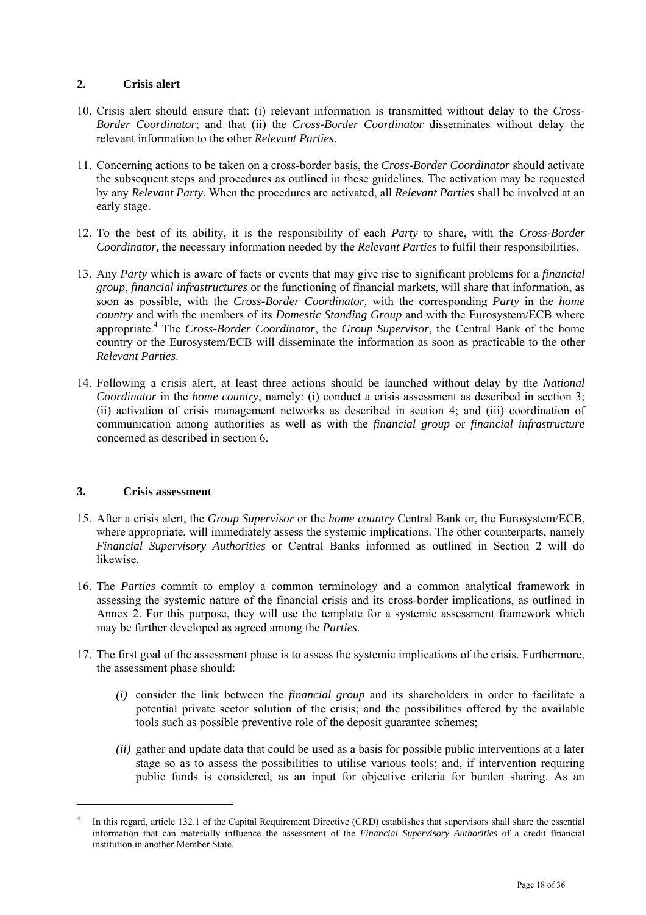### **2. Crisis alert**

- 10. Crisis alert should ensure that: (i) relevant information is transmitted without delay to the *Cross-Border Coordinator*; and that (ii) the *Cross-Border Coordinator* disseminates without delay the relevant information to the other *Relevant Parties*.
- 11. Concerning actions to be taken on a cross-border basis, the *Cross-Border Coordinator* should activate the subsequent steps and procedures as outlined in these guidelines. The activation may be requested by any *Relevant Party*. When the procedures are activated, all *Relevant Parties* shall be involved at an early stage.
- 12. To the best of its ability, it is the responsibility of each *Party* to share, with the *Cross-Border Coordinator,* the necessary information needed by the *Relevant Parties* to fulfil their responsibilities.
- 13. Any *Party* which is aware of facts or events that may give rise to significant problems for a *financial group*, *financial infrastructures* or the functioning of financial markets, will share that information, as soon as possible, with the *Cross-Border Coordinator,* with the corresponding *Party* in the *home country* and with the members of its *Domestic Standing Group* and with the Eurosystem/ECB where appropriate.<sup>4</sup> The *Cross-Border Coordinator*, the *Group Supervisor*, the Central Bank of the home country or the Eurosystem/ECB will disseminate the information as soon as practicable to the other *Relevant Parties*.
- 14. Following a crisis alert, at least three actions should be launched without delay by the *National Coordinator* in the *home country*, namely: (i) conduct a crisis assessment as described in section 3; (ii) activation of crisis management networks as described in section 4; and (iii) coordination of communication among authorities as well as with the *financial group* or *financial infrastructure* concerned as described in section 6.

#### **3. Crisis assessment**

 $\overline{a}$ 

- 15. After a crisis alert, the *Group Supervisor* or the *home country* Central Bank or, the Eurosystem/ECB, where appropriate, will immediately assess the systemic implications. The other counterparts, namely *Financial Supervisory Authorities* or Central Banks informed as outlined in Section 2 will do likewise.
- 16. The *Parties* commit to employ a common terminology and a common analytical framework in assessing the systemic nature of the financial crisis and its cross-border implications, as outlined in Annex 2. For this purpose, they will use the template for a systemic assessment framework which may be further developed as agreed among the *Parties*.
- 17. The first goal of the assessment phase is to assess the systemic implications of the crisis. Furthermore, the assessment phase should:
	- *(i)* consider the link between the *financial group* and its shareholders in order to facilitate a potential private sector solution of the crisis; and the possibilities offered by the available tools such as possible preventive role of the deposit guarantee schemes;
	- *(ii)* gather and update data that could be used as a basis for possible public interventions at a later stage so as to assess the possibilities to utilise various tools; and, if intervention requiring public funds is considered, as an input for objective criteria for burden sharing. As an

<sup>4</sup> In this regard, article 132.1 of the Capital Requirement Directive (CRD) establishes that supervisors shall share the essential information that can materially influence the assessment of the *Financial Supervisory Authorities* of a credit financial institution in another Member State.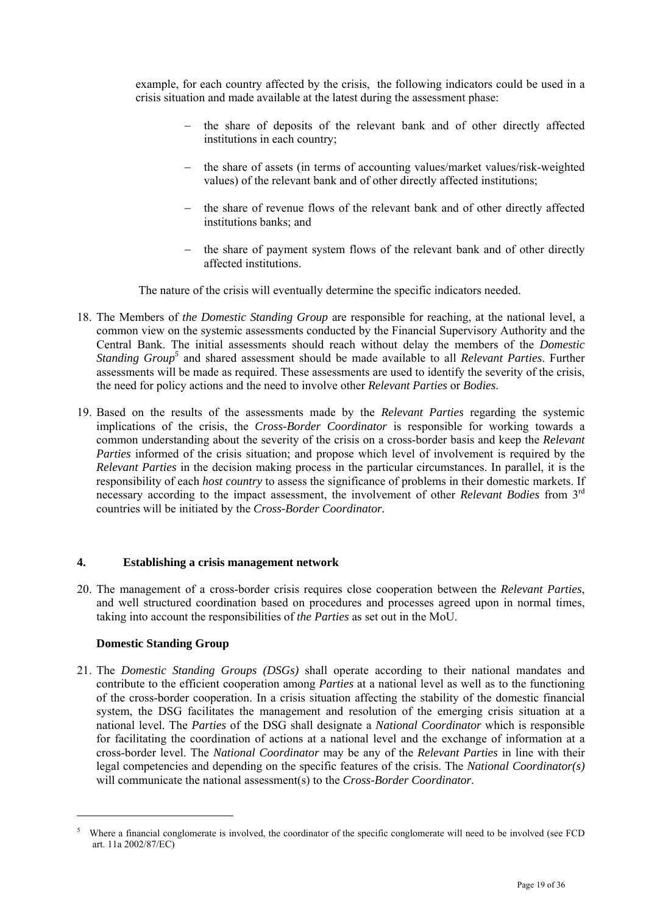example, for each country affected by the crisis, the following indicators could be used in a crisis situation and made available at the latest during the assessment phase:

- − the share of deposits of the relevant bank and of other directly affected institutions in each country;
- − the share of assets (in terms of accounting values/market values/risk-weighted values) of the relevant bank and of other directly affected institutions;
- − the share of revenue flows of the relevant bank and of other directly affected institutions banks; and
- the share of payment system flows of the relevant bank and of other directly affected institutions.

The nature of the crisis will eventually determine the specific indicators needed.

- 18. The Members of *the Domestic Standing Group* are responsible for reaching, at the national level, a common view on the systemic assessments conducted by the Financial Supervisory Authority and the Central Bank. The initial assessments should reach without delay the members of the *Domestic*  Standing Group<sup>5</sup> and shared assessment should be made available to all *Relevant Parties*. Further assessments will be made as required. These assessments are used to identify the severity of the crisis, the need for policy actions and the need to involve other *Relevant Parties* or *Bodies*.
- 19. Based on the results of the assessments made by the *Relevant Parties* regarding the systemic implications of the crisis, the *Cross-Border Coordinator* is responsible for working towards a common understanding about the severity of the crisis on a cross-border basis and keep the *Relevant Parties* informed of the crisis situation; and propose which level of involvement is required by the *Relevant Parties* in the decision making process in the particular circumstances. In parallel, it is the responsibility of each *host country* to assess the significance of problems in their domestic markets. If necessary according to the impact assessment, the involvement of other *Relevant Bodies* from 3rd countries will be initiated by the *Cross-Border Coordinator.*

#### **4. Establishing a crisis management network**

20. The management of a cross-border crisis requires close cooperation between the *Relevant Parties*, and well structured coordination based on procedures and processes agreed upon in normal times, taking into account the responsibilities of *the Parties* as set out in the MoU.

#### **Domestic Standing Group**

l

21. The *Domestic Standing Groups (DSGs)* shall operate according to their national mandates and contribute to the efficient cooperation among *Parties* at a national level as well as to the functioning of the cross-border cooperation. In a crisis situation affecting the stability of the domestic financial system, the DSG facilitates the management and resolution of the emerging crisis situation at a national level. The *Parties* of the DSG shall designate a *National Coordinator* which is responsible for facilitating the coordination of actions at a national level and the exchange of information at a cross-border level. The *National Coordinator* may be any of the *Relevant Parties* in line with their legal competencies and depending on the specific features of the crisis. The *National Coordinator(s)* will communicate the national assessment(s) to the *Cross-Border Coordinator*.

<sup>5</sup> Where a financial conglomerate is involved, the coordinator of the specific conglomerate will need to be involved (see FCD art. 11a 2002/87/EC)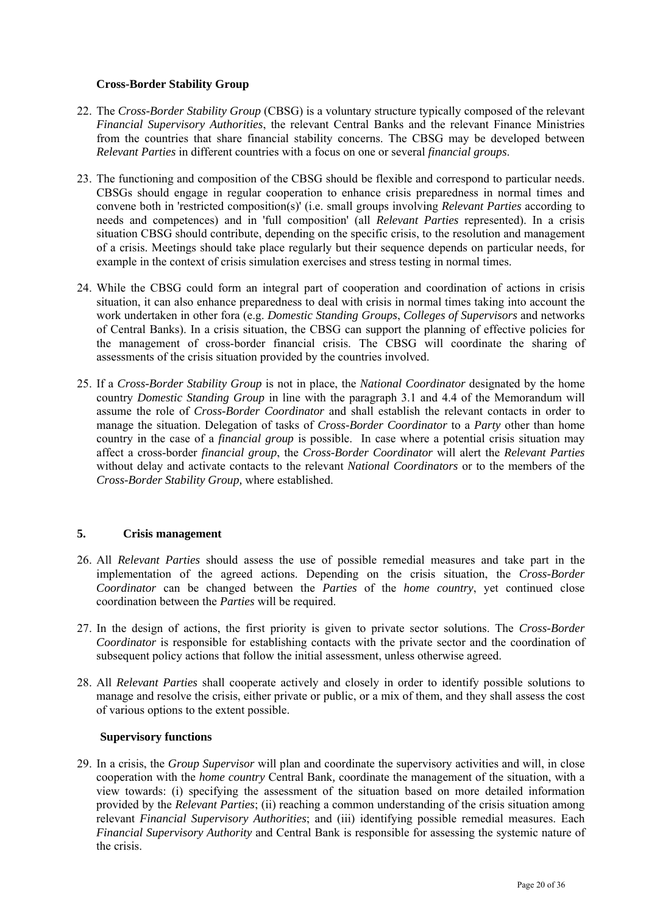#### **Cross-Border Stability Group**

- 22. The *Cross-Border Stability Group* (CBSG) is a voluntary structure typically composed of the relevant *Financial Supervisory Authorities*, the relevant Central Banks and the relevant Finance Ministries from the countries that share financial stability concerns. The CBSG may be developed between *Relevant Parties* in different countries with a focus on one or several *financial groups*.
- 23. The functioning and composition of the CBSG should be flexible and correspond to particular needs. CBSGs should engage in regular cooperation to enhance crisis preparedness in normal times and convene both in 'restricted composition(s)' (i.e. small groups involving *Relevant Parties* according to needs and competences) and in 'full composition' (all *Relevant Parties* represented). In a crisis situation CBSG should contribute, depending on the specific crisis, to the resolution and management of a crisis. Meetings should take place regularly but their sequence depends on particular needs, for example in the context of crisis simulation exercises and stress testing in normal times.
- 24. While the CBSG could form an integral part of cooperation and coordination of actions in crisis situation, it can also enhance preparedness to deal with crisis in normal times taking into account the work undertaken in other fora (e.g. *Domestic Standing Groups*, *Colleges of Supervisors* and networks of Central Banks). In a crisis situation, the CBSG can support the planning of effective policies for the management of cross-border financial crisis. The CBSG will coordinate the sharing of assessments of the crisis situation provided by the countries involved.
- 25. If a *Cross-Border Stability Group* is not in place, the *National Coordinator* designated by the home country *Domestic Standing Group* in line with the paragraph 3.1 and 4.4 of the Memorandum will assume the role of *Cross-Border Coordinator* and shall establish the relevant contacts in order to manage the situation. Delegation of tasks of *Cross-Border Coordinator* to a *Party* other than home country in the case of a *financial group* is possible. In case where a potential crisis situation may affect a cross-border *financial group*, the *Cross-Border Coordinator* will alert the *Relevant Parties* without delay and activate contacts to the relevant *National Coordinators* or to the members of the *Cross-Border Stability Group,* where established.

#### **5. Crisis management**

- 26. All *Relevant Parties* should assess the use of possible remedial measures and take part in the implementation of the agreed actions. Depending on the crisis situation, the *Cross-Border Coordinator* can be changed between the *Parties* of the *home country*, yet continued close coordination between the *Parties* will be required.
- 27. In the design of actions, the first priority is given to private sector solutions. The *Cross-Border Coordinator* is responsible for establishing contacts with the private sector and the coordination of subsequent policy actions that follow the initial assessment, unless otherwise agreed.
- 28. All *Relevant Parties* shall cooperate actively and closely in order to identify possible solutions to manage and resolve the crisis, either private or public, or a mix of them, and they shall assess the cost of various options to the extent possible.

#### **Supervisory functions**

29. In a crisis, the *Group Supervisor* will plan and coordinate the supervisory activities and will, in close cooperation with the *home country* Central Bank*,* coordinate the management of the situation, with a view towards: (i) specifying the assessment of the situation based on more detailed information provided by the *Relevant Parties*; (ii) reaching a common understanding of the crisis situation among relevant *Financial Supervisory Authorities*; and (iii) identifying possible remedial measures. Each *Financial Supervisory Authority* and Central Bank is responsible for assessing the systemic nature of the crisis.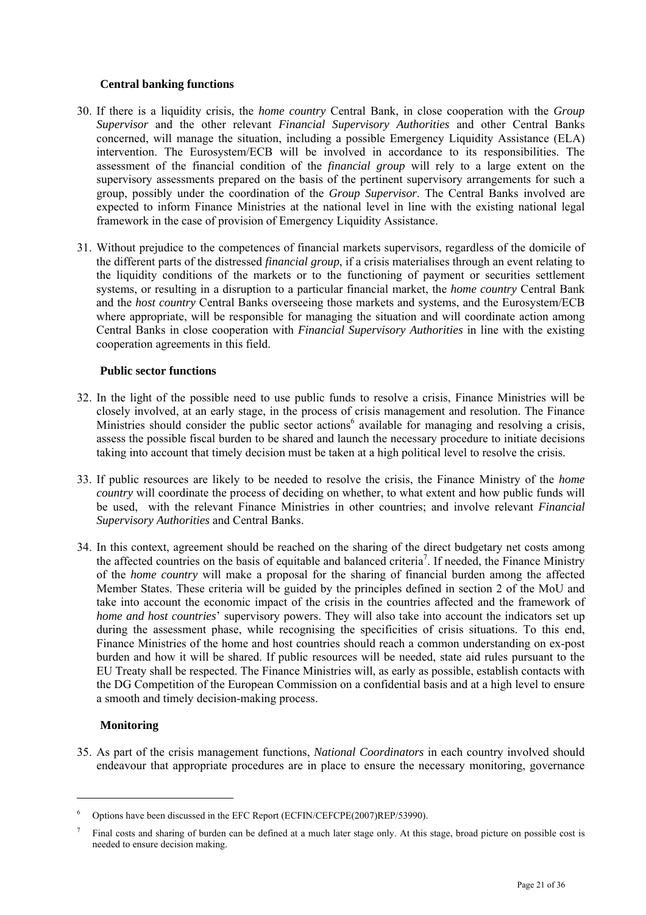#### **Central banking functions**

- 30. If there is a liquidity crisis, the *home country* Central Bank, in close cooperation with the *Group Supervisor* and the other relevant *Financial Supervisory Authorities* and other Central Banks concerned, will manage the situation, including a possible Emergency Liquidity Assistance (ELA) intervention. The Eurosystem/ECB will be involved in accordance to its responsibilities. The assessment of the financial condition of the *financial group* will rely to a large extent on the supervisory assessments prepared on the basis of the pertinent supervisory arrangements for such a group, possibly under the coordination of the *Group Supervisor*. The Central Banks involved are expected to inform Finance Ministries at the national level in line with the existing national legal framework in the case of provision of Emergency Liquidity Assistance.
- 31. Without prejudice to the competences of financial markets supervisors, regardless of the domicile of the different parts of the distressed *financial group*, if a crisis materialises through an event relating to the liquidity conditions of the markets or to the functioning of payment or securities settlement systems, or resulting in a disruption to a particular financial market, the *home country* Central Bank and the *host country* Central Banks overseeing those markets and systems, and the Eurosystem/ECB where appropriate, will be responsible for managing the situation and will coordinate action among Central Banks in close cooperation with *Financial Supervisory Authorities* in line with the existing cooperation agreements in this field.

#### **Public sector functions**

- 32. In the light of the possible need to use public funds to resolve a crisis, Finance Ministries will be closely involved, at an early stage, in the process of crisis management and resolution. The Finance Ministries should consider the public sector actions<sup>6</sup> available for managing and resolving a crisis, assess the possible fiscal burden to be shared and launch the necessary procedure to initiate decisions taking into account that timely decision must be taken at a high political level to resolve the crisis.
- 33. If public resources are likely to be needed to resolve the crisis, the Finance Ministry of the *home country* will coordinate the process of deciding on whether, to what extent and how public funds will be used, with the relevant Finance Ministries in other countries; and involve relevant *Financial Supervisory Authorities* and Central Banks.
- 34. In this context, agreement should be reached on the sharing of the direct budgetary net costs among the affected countries on the basis of equitable and balanced criteria<sup>7</sup>. If needed, the Finance Ministry of the *home country* will make a proposal for the sharing of financial burden among the affected Member States. These criteria will be guided by the principles defined in section 2 of the MoU and take into account the economic impact of the crisis in the countries affected and the framework of *home and host countries*' supervisory powers. They will also take into account the indicators set up during the assessment phase, while recognising the specificities of crisis situations. To this end, Finance Ministries of the home and host countries should reach a common understanding on ex-post burden and how it will be shared. If public resources will be needed, state aid rules pursuant to the EU Treaty shall be respected. The Finance Ministries will, as early as possible, establish contacts with the DG Competition of the European Commission on a confidential basis and at a high level to ensure a smooth and timely decision-making process.

### **Monitoring**

 $\overline{a}$ 

35. As part of the crisis management functions, *National Coordinators* in each country involved should endeavour that appropriate procedures are in place to ensure the necessary monitoring, governance

<sup>6</sup> Options have been discussed in the EFC Report (ECFIN/CEFCPE(2007)REP/53990).

<sup>7</sup> Final costs and sharing of burden can be defined at a much later stage only. At this stage, broad picture on possible cost is needed to ensure decision making.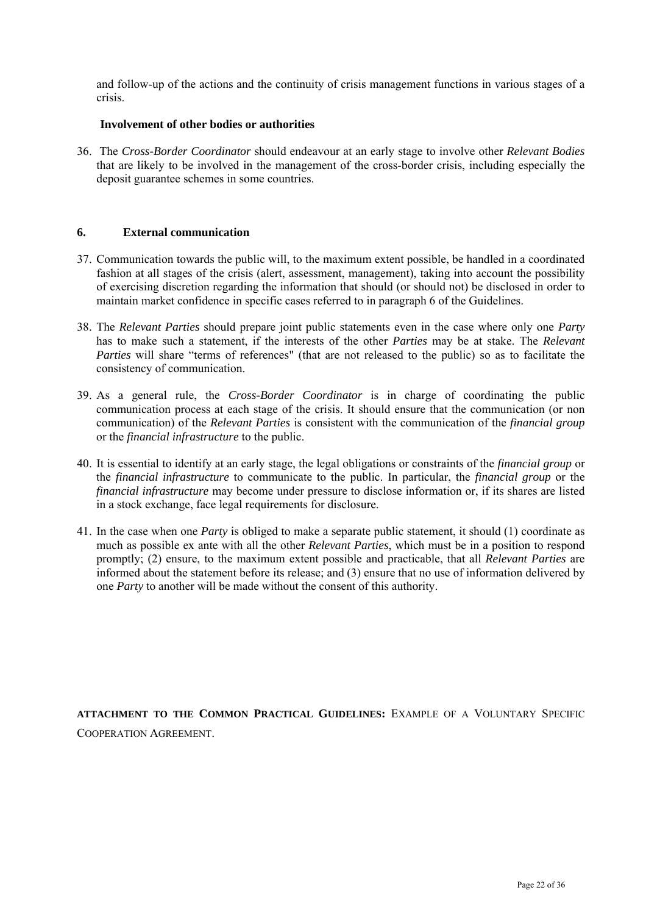and follow-up of the actions and the continuity of crisis management functions in various stages of a crisis.

#### **Involvement of other bodies or authorities**

36. The *Cross-Border Coordinator* should endeavour at an early stage to involve other *Relevant Bodies* that are likely to be involved in the management of the cross-border crisis, including especially the deposit guarantee schemes in some countries.

#### **6. External communication**

- 37. Communication towards the public will, to the maximum extent possible, be handled in a coordinated fashion at all stages of the crisis (alert, assessment, management), taking into account the possibility of exercising discretion regarding the information that should (or should not) be disclosed in order to maintain market confidence in specific cases referred to in paragraph 6 of the Guidelines.
- 38. The *Relevant Parties* should prepare joint public statements even in the case where only one *Party* has to make such a statement, if the interests of the other *Parties* may be at stake. The *Relevant Parties* will share "terms of references" (that are not released to the public) so as to facilitate the consistency of communication.
- 39. As a general rule, the *Cross-Border Coordinator* is in charge of coordinating the public communication process at each stage of the crisis. It should ensure that the communication (or non communication) of the *Relevant Parties* is consistent with the communication of the *financial group* or the *financial infrastructure* to the public.
- 40. It is essential to identify at an early stage, the legal obligations or constraints of the *financial group* or the *financial infrastructure* to communicate to the public. In particular, the *financial group* or the *financial infrastructure* may become under pressure to disclose information or, if its shares are listed in a stock exchange, face legal requirements for disclosure.
- 41. In the case when one *Party* is obliged to make a separate public statement, it should (1) coordinate as much as possible ex ante with all the other *Relevant Parties*, which must be in a position to respond promptly; (2) ensure, to the maximum extent possible and practicable, that all *Relevant Parties* are informed about the statement before its release; and (3) ensure that no use of information delivered by one *Party* to another will be made without the consent of this authority.

**ATTACHMENT TO THE COMMON PRACTICAL GUIDELINES:** EXAMPLE OF A VOLUNTARY SPECIFIC COOPERATION AGREEMENT.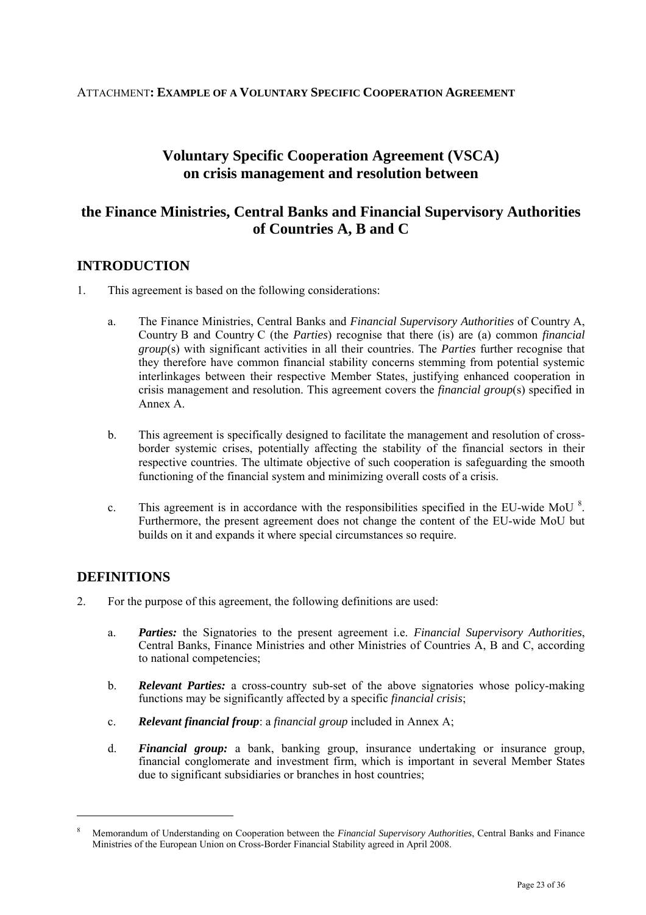### ATTACHMENT**: EXAMPLE OF A VOLUNTARY SPECIFIC COOPERATION AGREEMENT**

# **Voluntary Specific Cooperation Agreement (VSCA) on crisis management and resolution between**

# **the Finance Ministries, Central Banks and Financial Supervisory Authorities of Countries A, B and C**

## <span id="page-23-0"></span>**INTRODUCTION**

- 1. This agreement is based on the following considerations:
	- a. The Finance Ministries, Central Banks and *Financial Supervisory Authorities* of Country A, Country B and Country C (the *Parties*) recognise that there (is) are (a) common *financial group*(s) with significant activities in all their countries. The *Parties* further recognise that they therefore have common financial stability concerns stemming from potential systemic interlinkages between their respective Member States, justifying enhanced cooperation in crisis management and resolution. This agreement covers the *financial group*(s) specified in Annex A.
	- b. This agreement is specifically designed to facilitate the management and resolution of crossborder systemic crises, potentially affecting the stability of the financial sectors in their respective countries. The ultimate objective of such cooperation is safeguarding the smooth functioning of the financial system and minimizing overall costs of a crisis.
	- c. This agreement is in accordance with the responsibilities specified in the EU-wide MoU  $\rm{^{8}}$ . Furthermore, the present agreement does not change the content of the EU-wide MoU but builds on it and expands it where special circumstances so require.

# **DEFINITIONS**

l

- 2. For the purpose of this agreement, the following definitions are used:
	- a. *Parties:* the Signatories to the present agreement i.e. *Financial Supervisory Authorities*, Central Banks, Finance Ministries and other Ministries of Countries A, B and C, according to national competencies;
	- b. *Relevant Parties:* a cross-country sub-set of the above signatories whose policy-making functions may be significantly affected by a specific *financial crisis*;
	- c. *Relevant financial froup*: a *financial group* included in Annex A;
	- d. *Financial group:* a bank, banking group, insurance undertaking or insurance group, financial conglomerate and investment firm, which is important in several Member States due to significant subsidiaries or branches in host countries;

<sup>8</sup> Memorandum of Understanding on Cooperation between the *Financial Supervisory Authorities*, Central Banks and Finance Ministries of the European Union on Cross-Border Financial Stability agreed in April 2008.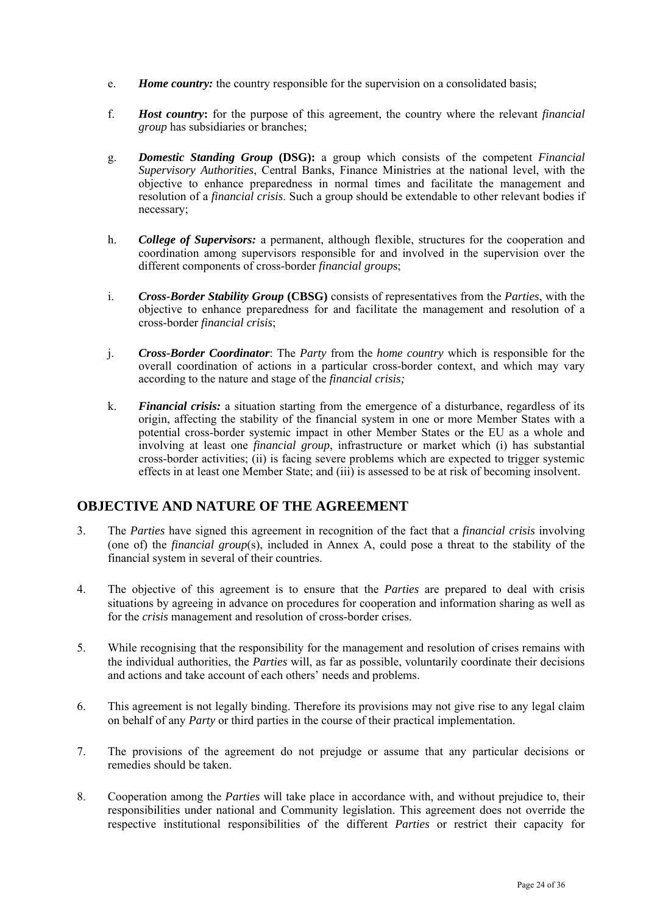- e. *Home country:* the country responsible for the supervision on a consolidated basis;
- f. *Host country***:** for the purpose of this agreement, the country where the relevant *financial group* has subsidiaries or branches;
- g. *Domestic Standing Group* **(DSG):** a group which consists of the competent *Financial Supervisory Authorities*, Central Banks, Finance Ministries at the national level, with the objective to enhance preparedness in normal times and facilitate the management and resolution of a *financial crisis*. Such a group should be extendable to other relevant bodies if necessary;
- h. *College of Supervisors:* a permanent, although flexible, structures for the cooperation and coordination among supervisors responsible for and involved in the supervision over the different components of cross-border *financial group*s;
- i. *Cross-Border Stability Group* **(CBSG)** consists of representatives from the *Parties*, with the objective to enhance preparedness for and facilitate the management and resolution of a cross-border *financial crisis*;
- j. *Cross-Border Coordinator*: The *Party* from the *home country* which is responsible for the overall coordination of actions in a particular cross-border context, and which may vary according to the nature and stage of the *financial crisis;*
- k. *Financial crisis:* a situation starting from the emergence of a disturbance, regardless of its origin, affecting the stability of the financial system in one or more Member States with a potential cross-border systemic impact in other Member States or the EU as a whole and involving at least one *financial group*, infrastructure or market which (i) has substantial cross-border activities; (ii) is facing severe problems which are expected to trigger systemic effects in at least one Member State; and (iii) is assessed to be at risk of becoming insolvent.

### **OBJECTIVE AND NATURE OF THE AGREEMENT**

- 3. The *Parties* have signed this agreement in recognition of the fact that a *financial crisis* involving (one of) the *financial group*(s), included in Annex A, could pose a threat to the stability of the financial system in several of their countries.
- 4. The objective of this agreement is to ensure that the *Parties* are prepared to deal with crisis situations by agreeing in advance on procedures for cooperation and information sharing as well as for the *crisis* management and resolution of cross-border crises.
- 5. While recognising that the responsibility for the management and resolution of crises remains with the individual authorities, the *Parties* will, as far as possible, voluntarily coordinate their decisions and actions and take account of each others' needs and problems.
- 6. This agreement is not legally binding. Therefore its provisions may not give rise to any legal claim on behalf of any *Party* or third parties in the course of their practical implementation.
- 7. The provisions of the agreement do not prejudge or assume that any particular decisions or remedies should be taken.
- 8. Cooperation among the *Parties* will take place in accordance with, and without prejudice to, their responsibilities under national and Community legislation. This agreement does not override the respective institutional responsibilities of the different *Parties* or restrict their capacity for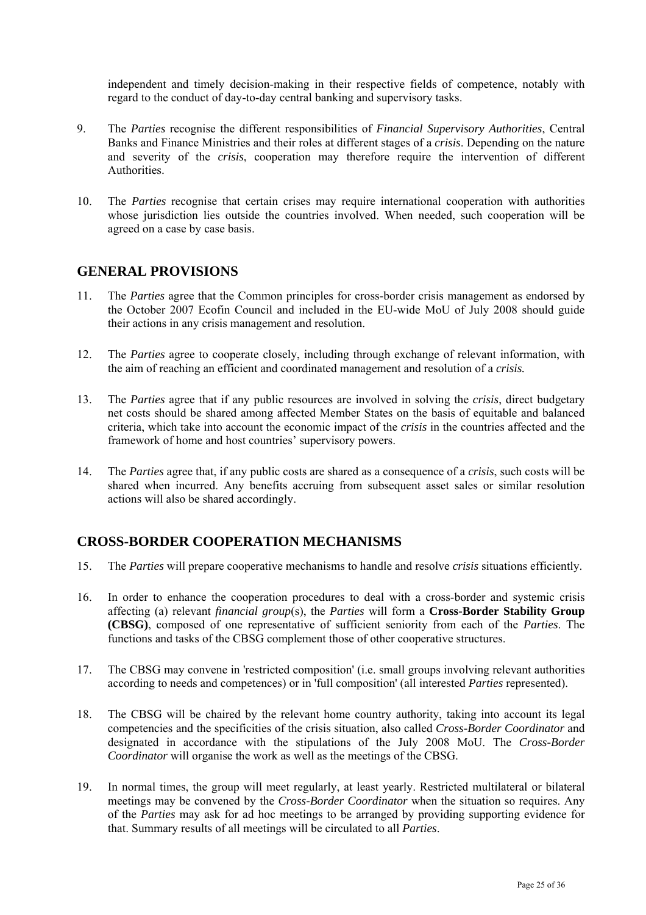independent and timely decision-making in their respective fields of competence, notably with regard to the conduct of day-to-day central banking and supervisory tasks.

- 9. The *Parties* recognise the different responsibilities of *Financial Supervisory Authorities*, Central Banks and Finance Ministries and their roles at different stages of a *crisis*. Depending on the nature and severity of the *crisis*, cooperation may therefore require the intervention of different Authorities.
- 10. The *Parties* recognise that certain crises may require international cooperation with authorities whose jurisdiction lies outside the countries involved. When needed, such cooperation will be agreed on a case by case basis.

### **GENERAL PROVISIONS**

- 11. The *Parties* agree that the Common principles for cross-border crisis management as endorsed by the October 2007 Ecofin Council and included in the EU-wide MoU of July 2008 should guide their actions in any crisis management and resolution.
- 12. The *Parties* agree to cooperate closely, including through exchange of relevant information, with the aim of reaching an efficient and coordinated management and resolution of a *crisis.*
- 13. The *Parties* agree that if any public resources are involved in solving the *crisis*, direct budgetary net costs should be shared among affected Member States on the basis of equitable and balanced criteria, which take into account the economic impact of the *crisis* in the countries affected and the framework of home and host countries' supervisory powers.
- 14. The *Parties* agree that, if any public costs are shared as a consequence of a *crisis*, such costs will be shared when incurred. Any benefits accruing from subsequent asset sales or similar resolution actions will also be shared accordingly.

### **CROSS-BORDER COOPERATION MECHANISMS**

- 15. The *Parties* will prepare cooperative mechanisms to handle and resolve *crisis* situations efficiently.
- 16. In order to enhance the cooperation procedures to deal with a cross-border and systemic crisis affecting (a) relevant *financial group*(s), the *Parties* will form a **Cross-Border Stability Group (CBSG)**, composed of one representative of sufficient seniority from each of the *Parties*. The functions and tasks of the CBSG complement those of other cooperative structures.
- 17. The CBSG may convene in 'restricted composition' (i.e. small groups involving relevant authorities according to needs and competences) or in 'full composition' (all interested *Parties* represented).
- 18. The CBSG will be chaired by the relevant home country authority, taking into account its legal competencies and the specificities of the crisis situation, also called *Cross-Border Coordinator* and designated in accordance with the stipulations of the July 2008 MoU. The *Cross-Border Coordinator* will organise the work as well as the meetings of the CBSG.
- 19. In normal times, the group will meet regularly, at least yearly. Restricted multilateral or bilateral meetings may be convened by the *Cross-Border Coordinator* when the situation so requires. Any of the *Parties* may ask for ad hoc meetings to be arranged by providing supporting evidence for that. Summary results of all meetings will be circulated to all *Parties*.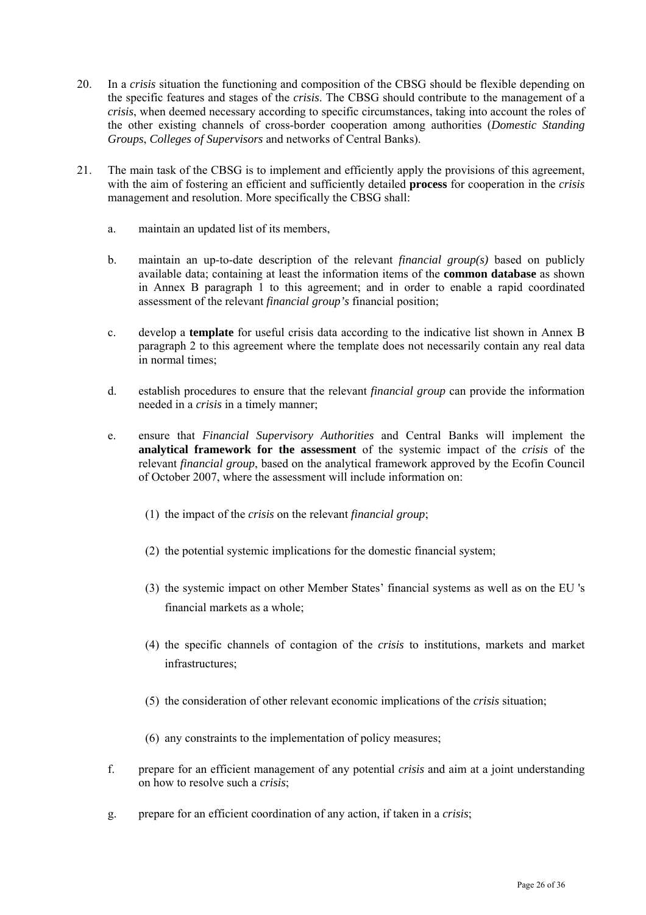- 20. In a *crisis* situation the functioning and composition of the CBSG should be flexible depending on the specific features and stages of the *crisis*. The CBSG should contribute to the management of a *crisis*, when deemed necessary according to specific circumstances, taking into account the roles of the other existing channels of cross-border cooperation among authorities (*Domestic Standing Groups*, *Colleges of Supervisors* and networks of Central Banks).
- 21. The main task of the CBSG is to implement and efficiently apply the provisions of this agreement, with the aim of fostering an efficient and sufficiently detailed **process** for cooperation in the *crisis* management and resolution. More specifically the CBSG shall:
	- a. maintain an updated list of its members,
	- b. maintain an up-to-date description of the relevant *financial group(s)* based on publicly available data; containing at least the information items of the **common database** as shown in Annex B paragraph [1](#page-23-0) to this agreement; and in order to enable a rapid coordinated assessment of the relevant *financial group's* financial position;
	- c. develop a **template** for useful crisis data according to the indicative list shown in Annex B paragraph [2 t](#page-31-0)o this agreement where the template does not necessarily contain any real data in normal times;
	- d. establish procedures to ensure that the relevant *financial group* can provide the information needed in a *crisis* in a timely manner;
	- e. ensure that *Financial Supervisory Authorities* and Central Banks will implement the **analytical framework for the assessment** of the systemic impact of the *crisis* of the relevant *financial group*, based on the analytical framework approved by the Ecofin Council of October 2007, where the assessment will include information on:
		- (1) the impact of the *crisis* on the relevant *financial group*;
		- (2) the potential systemic implications for the domestic financial system;
		- (3) the systemic impact on other Member States' financial systems as well as on the EU 's financial markets as a whole;
		- (4) the specific channels of contagion of the *crisis* to institutions, markets and market infrastructures;
		- (5) the consideration of other relevant economic implications of the *crisis* situation;
		- (6) any constraints to the implementation of policy measures;
	- f. prepare for an efficient management of any potential *crisis* and aim at a joint understanding on how to resolve such a *crisis*;
	- g. prepare for an efficient coordination of any action, if taken in a *crisis*;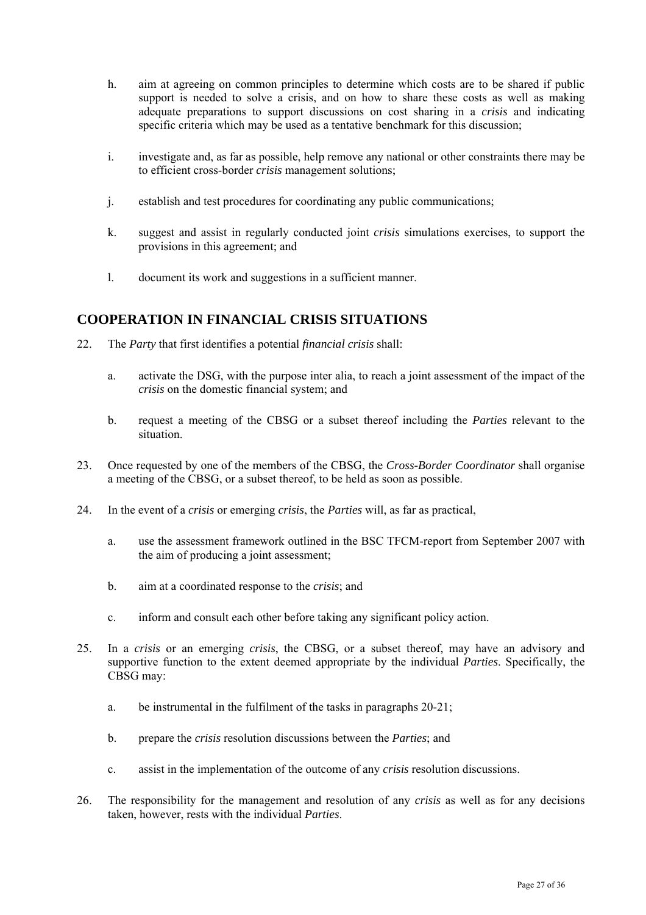- h. aim at agreeing on common principles to determine which costs are to be shared if public support is needed to solve a crisis, and on how to share these costs as well as making adequate preparations to support discussions on cost sharing in a *crisis* and indicating specific criteria which may be used as a tentative benchmark for this discussion;
- i. investigate and, as far as possible, help remove any national or other constraints there may be to efficient cross-border *crisis* management solutions;
- j. establish and test procedures for coordinating any public communications;
- k. suggest and assist in regularly conducted joint *crisis* simulations exercises, to support the provisions in this agreement; and
- l. document its work and suggestions in a sufficient manner.

### **COOPERATION IN FINANCIAL CRISIS SITUATIONS**

- 22. The *Party* that first identifies a potential *financial crisis* shall:
	- a. activate the DSG, with the purpose inter alia, to reach a joint assessment of the impact of the *crisis* on the domestic financial system; and
	- b. request a meeting of the CBSG or a subset thereof including the *Parties* relevant to the situation.
- 23. Once requested by one of the members of the CBSG, the *Cross-Border Coordinator* shall organise a meeting of the CBSG, or a subset thereof, to be held as soon as possible.
- 24. In the event of a *crisis* or emerging *crisis*, the *Parties* will, as far as practical,
	- a. use the assessment framework outlined in the BSC TFCM-report from September 2007 with the aim of producing a joint assessment;
	- b. aim at a coordinated response to the *crisis*; and
	- c. inform and consult each other before taking any significant policy action.
- 25. In a *crisis* or an emerging *crisis*, the CBSG, or a subset thereof, may have an advisory and supportive function to the extent deemed appropriate by the individual *Parties*. Specifically, the CBSG may:
	- a. be instrumental in the fulfilment of the tasks in paragraphs 20-21;
	- b. prepare the *crisis* resolution discussions between the *Parties*; and
	- c. assist in the implementation of the outcome of any *crisis* resolution discussions.
- 26. The responsibility for the management and resolution of any *crisis* as well as for any decisions taken, however, rests with the individual *Parties*.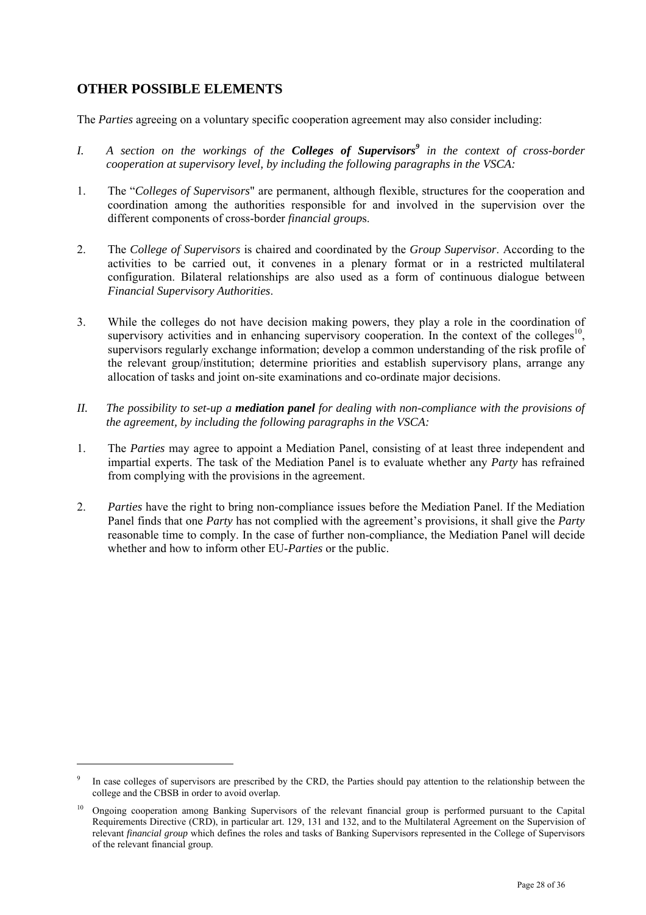# **OTHER POSSIBLE ELEMENTS**

 $\overline{a}$ 

The *Parties* agreeing on a voluntary specific cooperation agreement may also consider including:

- *I. A section on the workings of the Colleges of Supervisors<sup>9</sup> in the context of cross-border cooperation at supervisory level, by including the following paragraphs in the VSCA:*
- 1. The "*Colleges of Supervisors*" are permanent, although flexible, structures for the cooperation and coordination among the authorities responsible for and involved in the supervision over the different components of cross-border *financial group*s.
- 2. The *College of Supervisors* is chaired and coordinated by the *Group Supervisor*. According to the activities to be carried out, it convenes in a plenary format or in a restricted multilateral configuration. Bilateral relationships are also used as a form of continuous dialogue between *Financial Supervisory Authorities*.
- 3. While the colleges do not have decision making powers, they play a role in the coordination of supervisory activities and in enhancing supervisory cooperation. In the context of the colleges<sup>10</sup>, supervisors regularly exchange information; develop a common understanding of the risk profile of the relevant group/institution; determine priorities and establish supervisory plans, arrange any allocation of tasks and joint on-site examinations and co-ordinate major decisions.
- *II. The possibility to set-up a mediation panel for dealing with non-compliance with the provisions of the agreement, by including the following paragraphs in the VSCA:*
- 1. The *Parties* may agree to appoint a Mediation Panel, consisting of at least three independent and impartial experts. The task of the Mediation Panel is to evaluate whether any *Party* has refrained from complying with the provisions in the agreement.
- 2. *Parties* have the right to bring non-compliance issues before the Mediation Panel. If the Mediation Panel finds that one *Party* has not complied with the agreement's provisions, it shall give the *Party* reasonable time to comply. In the case of further non-compliance, the Mediation Panel will decide whether and how to inform other EU-*Parties* or the public.

<sup>9</sup> In case colleges of supervisors are prescribed by the CRD, the Parties should pay attention to the relationship between the college and the CBSB in order to avoid overlap.

<sup>10</sup> Ongoing cooperation among Banking Supervisors of the relevant financial group is performed pursuant to the Capital Requirements Directive (CRD), in particular art. 129, 131 and 132, and to the Multilateral Agreement on the Supervision of relevant *financial group* which defines the roles and tasks of Banking Supervisors represented in the College of Supervisors of the relevant financial group.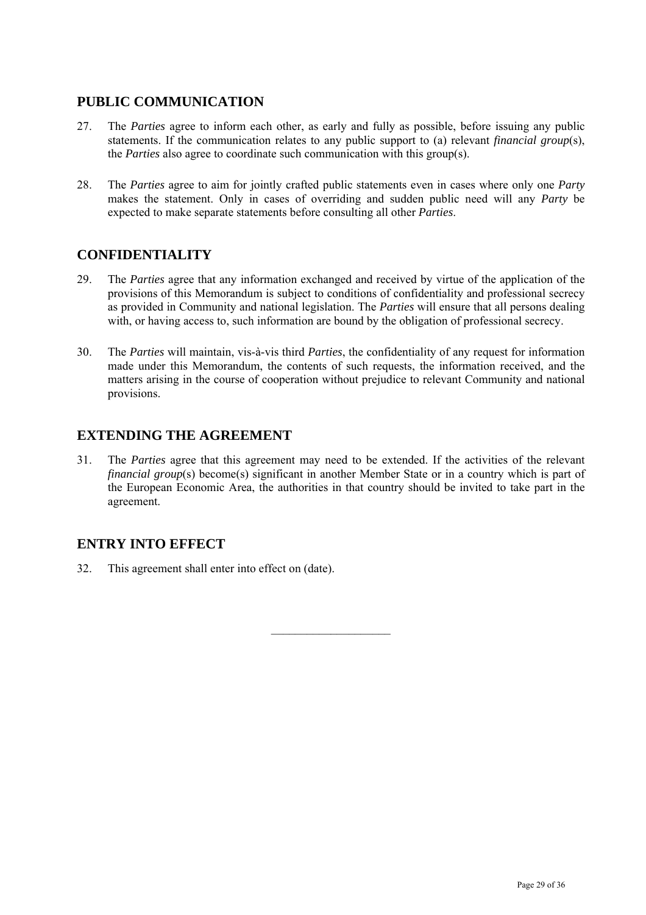# **PUBLIC COMMUNICATION**

- 27. The *Parties* agree to inform each other, as early and fully as possible, before issuing any public statements. If the communication relates to any public support to (a) relevant *financial group*(s), the *Parties* also agree to coordinate such communication with this group(s).
- 28. The *Parties* agree to aim for jointly crafted public statements even in cases where only one *Party* makes the statement. Only in cases of overriding and sudden public need will any *Party* be expected to make separate statements before consulting all other *Parties*.

# **CONFIDENTIALITY**

- 29. The *Parties* agree that any information exchanged and received by virtue of the application of the provisions of this Memorandum is subject to conditions of confidentiality and professional secrecy as provided in Community and national legislation. The *Parties* will ensure that all persons dealing with, or having access to, such information are bound by the obligation of professional secrecy.
- 30. The *Parties* will maintain, vis-à-vis third *Parties*, the confidentiality of any request for information made under this Memorandum, the contents of such requests, the information received, and the matters arising in the course of cooperation without prejudice to relevant Community and national provisions.

# **EXTENDING THE AGREEMENT**

31. The *Parties* agree that this agreement may need to be extended. If the activities of the relevant *financial group*(s) become(s) significant in another Member State or in a country which is part of the European Economic Area, the authorities in that country should be invited to take part in the agreement.

 $\mathcal{L}_\text{max}$ 

# **ENTRY INTO EFFECT**

32. This agreement shall enter into effect on (date).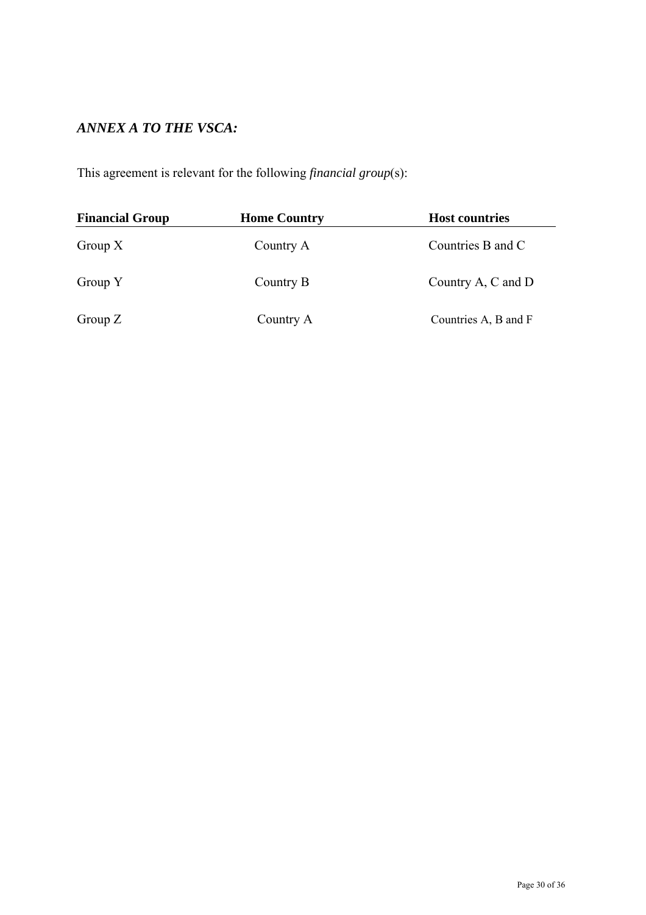# *ANNEX A TO THE VSCA:*

This agreement is relevant for the following *financial group*(s):

| <b>Financial Group</b> | <b>Home Country</b> | <b>Host countries</b> |
|------------------------|---------------------|-----------------------|
| Group $X$              | Country A           | Countries B and C     |
| Group Y                | Country B           | Country A, C and D    |
| Group $Z$              | Country A           | Countries A, B and F  |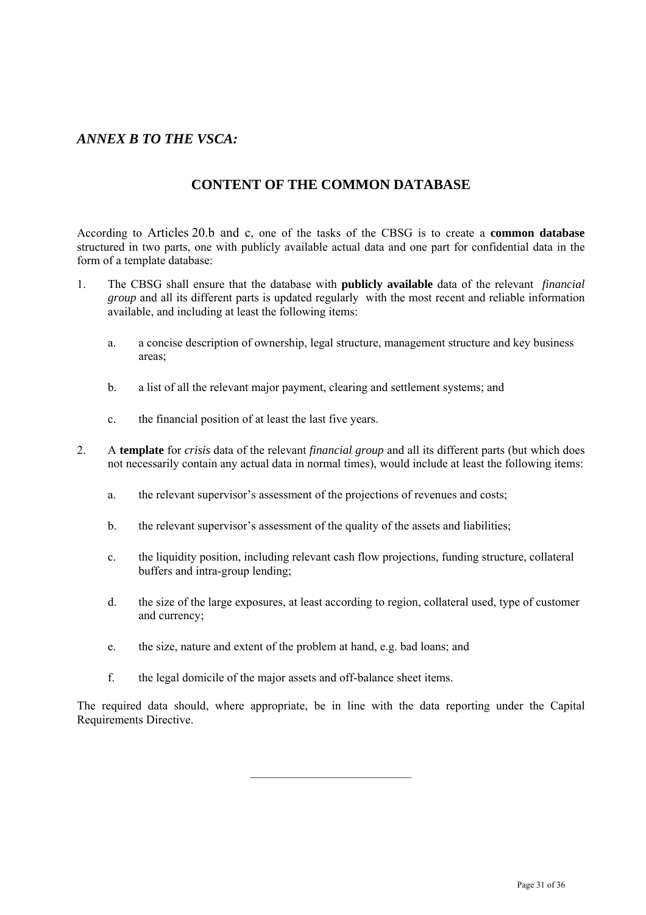# *ANNEX B TO THE VSCA:*

# **CONTENT OF THE COMMON DATABASE**

According to Articles 20.b and c, one of the tasks of the CBSG is to create a **common database** structured in two parts, one with publicly available actual data and one part for confidential data in the form of a template database:

- 1. The CBSG shall ensure that the database with **publicly available** data of the relevant *financial group* and all its different parts is updated regularly with the most recent and reliable information available, and including at least the following items:
	- a. a concise description of ownership, legal structure, management structure and key business areas;
	- b. a list of all the relevant major payment, clearing and settlement systems; and
	- c. the financial position of at least the last five years.
- <span id="page-31-0"></span>2. A **template** for *crisis* data of the relevant *financial group* and all its different parts (but which does not necessarily contain any actual data in normal times), would include at least the following items:
	- a. the relevant supervisor's assessment of the projections of revenues and costs;
	- b. the relevant supervisor's assessment of the quality of the assets and liabilities;
	- c. the liquidity position, including relevant cash flow projections, funding structure, collateral buffers and intra-group lending;
	- d. the size of the large exposures, at least according to region, collateral used, type of customer and currency;
	- e. the size, nature and extent of the problem at hand, e.g. bad loans; and
	- f. the legal domicile of the major assets and off-balance sheet items.

The required data should, where appropriate, be in line with the data reporting under the Capital Requirements Directive.

 $\mathcal{L}_\text{max}$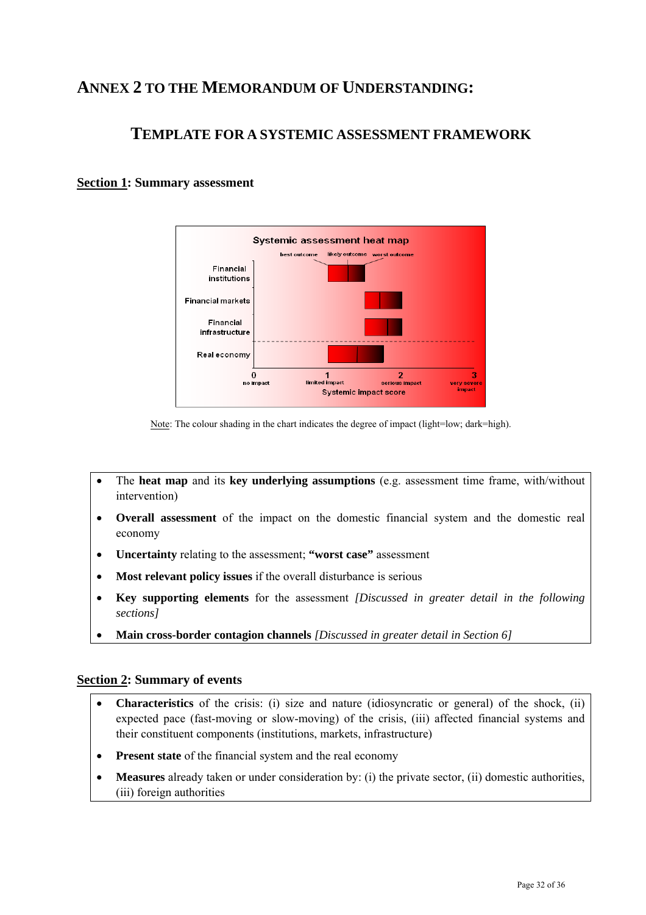# **ANNEX 2 TO THE MEMORANDUM OF UNDERSTANDING:**

# **TEMPLATE FOR A SYSTEMIC ASSESSMENT FRAMEWORK**

### **Section 1: Summary assessment**



Note: The colour shading in the chart indicates the degree of impact (light=low; dark=high).

- The **heat map** and its **key underlying assumptions** (e.g. assessment time frame, with/without intervention)
- **Overall assessment** of the impact on the domestic financial system and the domestic real economy
- **Uncertainty** relating to the assessment; **"worst case"** assessment
- **Most relevant policy issues** if the overall disturbance is serious
- **Key supporting elements** for the assessment *[Discussed in greater detail in the following sections]*
- **Main cross-border contagion channels** *[Discussed in greater detail in Section 6]*

#### **Section 2: Summary of events**

- **Characteristics** of the crisis: (i) size and nature (idiosyncratic or general) of the shock, (ii) expected pace (fast-moving or slow-moving) of the crisis, (iii) affected financial systems and their constituent components (institutions, markets, infrastructure)
- **Present state** of the financial system and the real economy
- **Measures** already taken or under consideration by: (i) the private sector, (ii) domestic authorities, (iii) foreign authorities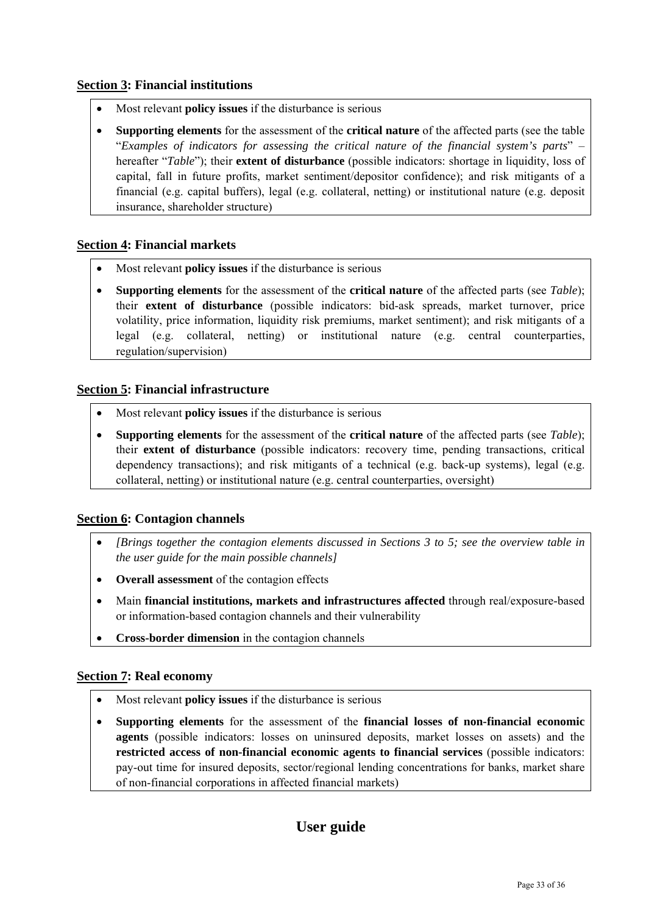### **Section 3: Financial institutions**

- Most relevant **policy issues** if the disturbance is serious
- **Supporting elements** for the assessment of the **critical nature** of the affected parts (see the table "*Examples of indicators for assessing the critical nature of the financial system's parts*" – hereafter "*Table*"); their **extent of disturbance** (possible indicators: shortage in liquidity, loss of capital, fall in future profits, market sentiment/depositor confidence); and risk mitigants of a financial (e.g. capital buffers), legal (e.g. collateral, netting) or institutional nature (e.g. deposit insurance, shareholder structure)

### **Section 4: Financial markets**

- Most relevant **policy issues** if the disturbance is serious
- **Supporting elements** for the assessment of the **critical nature** of the affected parts (see *Table*); their **extent of disturbance** (possible indicators: bid-ask spreads, market turnover, price volatility, price information, liquidity risk premiums, market sentiment); and risk mitigants of a legal (e.g. collateral, netting) or institutional nature (e.g. central counterparties, regulation/supervision)

### **Section 5: Financial infrastructure**

- Most relevant **policy issues** if the disturbance is serious
- **Supporting elements** for the assessment of the **critical nature** of the affected parts (see *Table*); their **extent of disturbance** (possible indicators: recovery time, pending transactions, critical dependency transactions); and risk mitigants of a technical (e.g. back-up systems), legal (e.g. collateral, netting) or institutional nature (e.g. central counterparties, oversight)

### **Section 6: Contagion channels**

- *[Brings together the contagion elements discussed in Sections 3 to 5; see the overview table in the user guide for the main possible channels]*
- **Overall assessment** of the contagion effects
- Main **financial institutions, markets and infrastructures affected** through real/exposure-based or information-based contagion channels and their vulnerability
- **Cross-border dimension** in the contagion channels

#### **Section 7: Real economy**

- Most relevant **policy issues** if the disturbance is serious
- **Supporting elements** for the assessment of the **financial losses of non-financial economic agents** (possible indicators: losses on uninsured deposits, market losses on assets) and the **restricted access of non-financial economic agents to financial services** (possible indicators: pay-out time for insured deposits, sector/regional lending concentrations for banks, market share of non-financial corporations in affected financial markets)

# **User guide**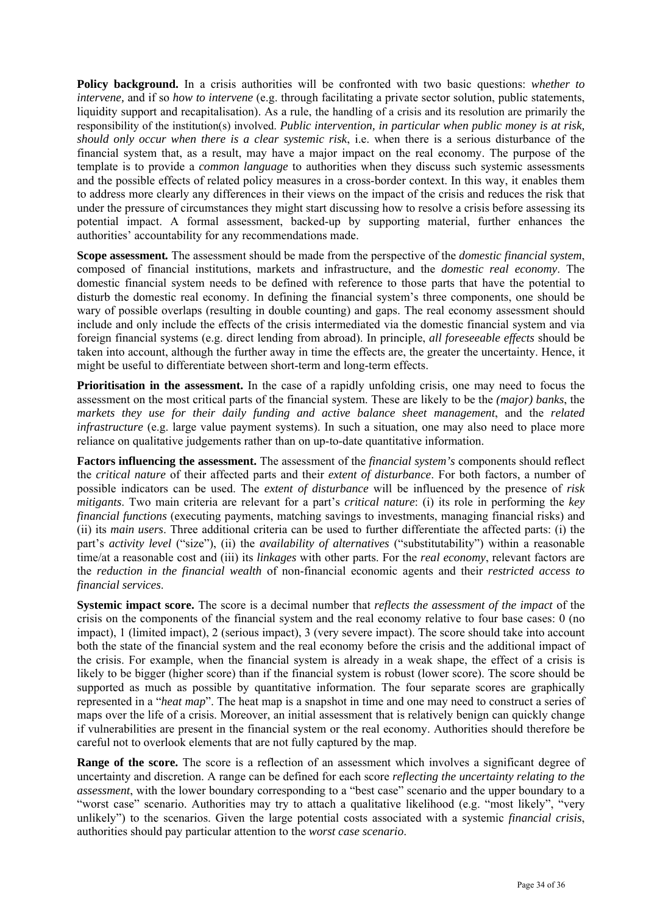**Policy background.** In a crisis authorities will be confronted with two basic questions: *whether to intervene*, and if so *how to intervene* (e.g. through facilitating a private sector solution, public statements, liquidity support and recapitalisation). As a rule, the handling of a crisis and its resolution are primarily the responsibility of the institution(s) involved. *Public intervention, in particular when public money is at risk, should only occur when there is a clear systemic risk*, i.e. when there is a serious disturbance of the financial system that, as a result, may have a major impact on the real economy. The purpose of the template is to provide a *common language* to authorities when they discuss such systemic assessments and the possible effects of related policy measures in a cross-border context. In this way, it enables them to address more clearly any differences in their views on the impact of the crisis and reduces the risk that under the pressure of circumstances they might start discussing how to resolve a crisis before assessing its potential impact. A formal assessment, backed-up by supporting material, further enhances the authorities' accountability for any recommendations made.

**Scope assessment***.* The assessment should be made from the perspective of the *domestic financial system*, composed of financial institutions, markets and infrastructure, and the *domestic real economy*. The domestic financial system needs to be defined with reference to those parts that have the potential to disturb the domestic real economy. In defining the financial system's three components, one should be wary of possible overlaps (resulting in double counting) and gaps. The real economy assessment should include and only include the effects of the crisis intermediated via the domestic financial system and via foreign financial systems (e.g. direct lending from abroad). In principle, *all foreseeable effects* should be taken into account, although the further away in time the effects are, the greater the uncertainty. Hence, it might be useful to differentiate between short-term and long-term effects.

**Prioritisation in the assessment.** In the case of a rapidly unfolding crisis, one may need to focus the assessment on the most critical parts of the financial system. These are likely to be the *(major) banks*, the *markets they use for their daily funding and active balance sheet management*, and the *related infrastructure* (e.g. large value payment systems). In such a situation, one may also need to place more reliance on qualitative judgements rather than on up-to-date quantitative information.

**Factors influencing the assessment.** The assessment of the *financial system's* components should reflect the *critical nature* of their affected parts and their *extent of disturbance*. For both factors, a number of possible indicators can be used. The *extent of disturbance* will be influenced by the presence of *risk mitigants*. Two main criteria are relevant for a part's *critical nature*: (i) its role in performing the *key financial functions* (executing payments, matching savings to investments, managing financial risks) and (ii) its *main users*. Three additional criteria can be used to further differentiate the affected parts: (i) the part's *activity level* ("size"), (ii) the *availability of alternatives* ("substitutability") within a reasonable time/at a reasonable cost and (iii) its *linkages* with other parts. For the *real economy*, relevant factors are the *reduction in the financial wealth* of non-financial economic agents and their *restricted access to financial services*.

**Systemic impact score.** The score is a decimal number that *reflects the assessment of the impact* of the crisis on the components of the financial system and the real economy relative to four base cases: 0 (no impact), 1 (limited impact), 2 (serious impact), 3 (very severe impact). The score should take into account both the state of the financial system and the real economy before the crisis and the additional impact of the crisis. For example, when the financial system is already in a weak shape, the effect of a crisis is likely to be bigger (higher score) than if the financial system is robust (lower score). The score should be supported as much as possible by quantitative information. The four separate scores are graphically represented in a "*heat map*". The heat map is a snapshot in time and one may need to construct a series of maps over the life of a crisis. Moreover, an initial assessment that is relatively benign can quickly change if vulnerabilities are present in the financial system or the real economy. Authorities should therefore be careful not to overlook elements that are not fully captured by the map.

**Range of the score.** The score is a reflection of an assessment which involves a significant degree of uncertainty and discretion. A range can be defined for each score *reflecting the uncertainty relating to the assessment*, with the lower boundary corresponding to a "best case" scenario and the upper boundary to a "worst case" scenario. Authorities may try to attach a qualitative likelihood (e.g. "most likely", "very unlikely") to the scenarios. Given the large potential costs associated with a systemic *financial crisis*, authorities should pay particular attention to the *worst case scenario*.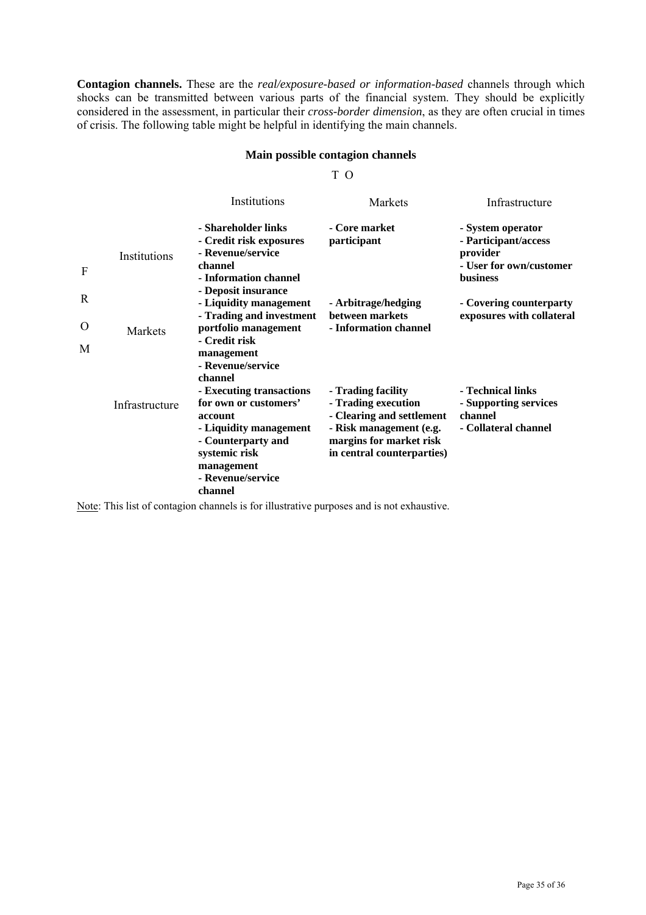**Contagion channels.** These are the *real/exposure-based or information-based* channels through which shocks can be transmitted between various parts of the financial system. They should be explicitly considered in the assessment, in particular their *cross-border dimension*, as they are often crucial in times of crisis. The following table might be helpful in identifying the main channels.

#### **Main possible contagion channels**

T O

|   |                | Institutions                                                                                                                                                                | Markets                                                                                                                                                    | Infrastructure                                                                                      |
|---|----------------|-----------------------------------------------------------------------------------------------------------------------------------------------------------------------------|------------------------------------------------------------------------------------------------------------------------------------------------------------|-----------------------------------------------------------------------------------------------------|
| F | Institutions   | - Shareholder links<br>- Credit risk exposures<br>- Revenue/service<br>channel<br>- Information channel<br>- Deposit insurance                                              | - Core market<br>participant                                                                                                                               | - System operator<br>- Participant/access<br>provider<br>- User for own/customer<br><b>business</b> |
| R |                | - Liquidity management                                                                                                                                                      | - Arbitrage/hedging                                                                                                                                        | - Covering counterparty                                                                             |
| O | Markets        | - Trading and investment<br>portfolio management                                                                                                                            | between markets<br>- Information channel                                                                                                                   | exposures with collateral                                                                           |
| M |                | - Credit risk<br>management                                                                                                                                                 |                                                                                                                                                            |                                                                                                     |
|   |                | - Revenue/service<br>channel                                                                                                                                                |                                                                                                                                                            |                                                                                                     |
|   | Infrastructure | - Executing transactions<br>for own or customers'<br>account<br>- Liquidity management<br>- Counterparty and<br>systemic risk<br>management<br>- Revenue/service<br>channel | - Trading facility<br>- Trading execution<br>- Clearing and settlement<br>- Risk management (e.g.<br>margins for market risk<br>in central counterparties) | - Technical links<br>- Supporting services<br>channel<br>- Collateral channel                       |

Note: This list of contagion channels is for illustrative purposes and is not exhaustive.